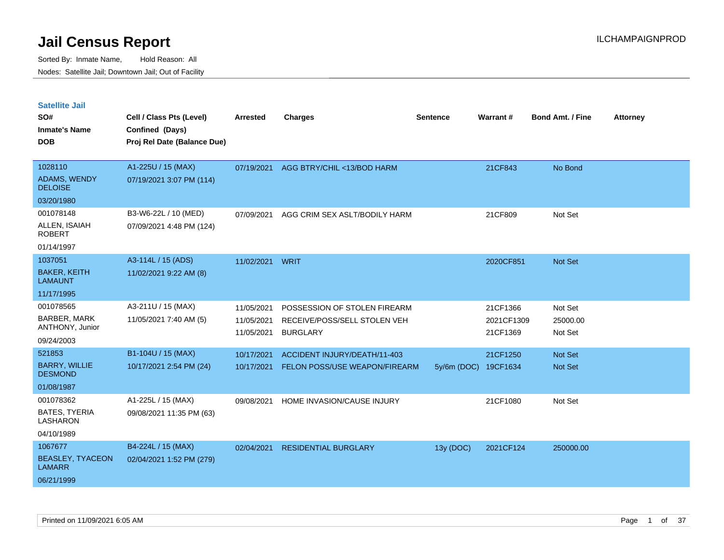| <b>Satellite Jail</b>                    |                             |                          |                                                 |                 |                        |                         |                 |
|------------------------------------------|-----------------------------|--------------------------|-------------------------------------------------|-----------------|------------------------|-------------------------|-----------------|
| SO#                                      | Cell / Class Pts (Level)    | <b>Arrested</b>          | <b>Charges</b>                                  | <b>Sentence</b> | Warrant#               | <b>Bond Amt. / Fine</b> | <b>Attorney</b> |
| <b>Inmate's Name</b>                     | Confined (Days)             |                          |                                                 |                 |                        |                         |                 |
| <b>DOB</b>                               | Proj Rel Date (Balance Due) |                          |                                                 |                 |                        |                         |                 |
|                                          |                             |                          |                                                 |                 |                        |                         |                 |
| 1028110                                  | A1-225U / 15 (MAX)          | 07/19/2021               | AGG BTRY/CHIL <13/BOD HARM                      |                 | 21CF843                | No Bond                 |                 |
| ADAMS, WENDY<br><b>DELOISE</b>           | 07/19/2021 3:07 PM (114)    |                          |                                                 |                 |                        |                         |                 |
| 03/20/1980                               |                             |                          |                                                 |                 |                        |                         |                 |
| 001078148                                | B3-W6-22L / 10 (MED)        | 07/09/2021               | AGG CRIM SEX ASLT/BODILY HARM                   |                 | 21CF809                | Not Set                 |                 |
| ALLEN, ISAIAH<br><b>ROBERT</b>           | 07/09/2021 4:48 PM (124)    |                          |                                                 |                 |                        |                         |                 |
| 01/14/1997                               |                             |                          |                                                 |                 |                        |                         |                 |
| 1037051                                  | A3-114L / 15 (ADS)          | 11/02/2021 WRIT          |                                                 |                 | 2020CF851              | <b>Not Set</b>          |                 |
| <b>BAKER, KEITH</b><br><b>LAMAUNT</b>    | 11/02/2021 9:22 AM (8)      |                          |                                                 |                 |                        |                         |                 |
| 11/17/1995                               |                             |                          |                                                 |                 |                        |                         |                 |
| 001078565                                | A3-211U / 15 (MAX)          | 11/05/2021               | POSSESSION OF STOLEN FIREARM                    |                 | 21CF1366               | Not Set                 |                 |
| <b>BARBER, MARK</b><br>ANTHONY, Junior   | 11/05/2021 7:40 AM (5)      | 11/05/2021<br>11/05/2021 | RECEIVE/POSS/SELL STOLEN VEH<br><b>BURGLARY</b> |                 | 2021CF1309<br>21CF1369 | 25000.00<br>Not Set     |                 |
| 09/24/2003                               |                             |                          |                                                 |                 |                        |                         |                 |
| 521853                                   | B1-104U / 15 (MAX)          | 10/17/2021               | ACCIDENT INJURY/DEATH/11-403                    |                 | 21CF1250               | <b>Not Set</b>          |                 |
| <b>BARRY, WILLIE</b><br><b>DESMOND</b>   | 10/17/2021 2:54 PM (24)     | 10/17/2021               | FELON POSS/USE WEAPON/FIREARM                   | 5y/6m (DOC)     | 19CF1634               | <b>Not Set</b>          |                 |
| 01/08/1987                               |                             |                          |                                                 |                 |                        |                         |                 |
| 001078362                                | A1-225L / 15 (MAX)          | 09/08/2021               | HOME INVASION/CAUSE INJURY                      |                 | 21CF1080               | Not Set                 |                 |
| <b>BATES, TYERIA</b><br>LASHARON         | 09/08/2021 11:35 PM (63)    |                          |                                                 |                 |                        |                         |                 |
| 04/10/1989                               |                             |                          |                                                 |                 |                        |                         |                 |
| 1067677                                  | B4-224L / 15 (MAX)          | 02/04/2021               | <b>RESIDENTIAL BURGLARY</b>                     | 13y (DOC)       | 2021CF124              | 250000.00               |                 |
| <b>BEASLEY, TYACEON</b><br><b>LAMARR</b> | 02/04/2021 1:52 PM (279)    |                          |                                                 |                 |                        |                         |                 |
| 06/21/1999                               |                             |                          |                                                 |                 |                        |                         |                 |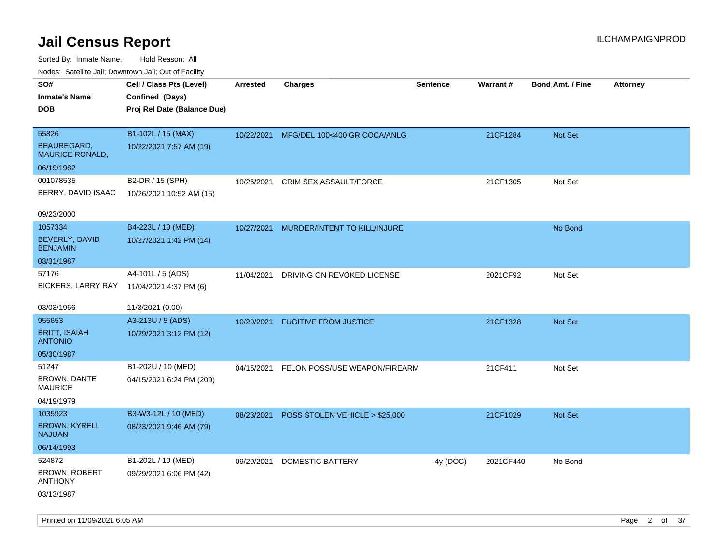| Nudes. Satellite Jali, Downtown Jali, Out of Facility |                             |            |                                         |                 |           |                         |                 |
|-------------------------------------------------------|-----------------------------|------------|-----------------------------------------|-----------------|-----------|-------------------------|-----------------|
| SO#                                                   | Cell / Class Pts (Level)    | Arrested   | <b>Charges</b>                          | <b>Sentence</b> | Warrant#  | <b>Bond Amt. / Fine</b> | <b>Attorney</b> |
| <b>Inmate's Name</b>                                  | Confined (Days)             |            |                                         |                 |           |                         |                 |
| DOB                                                   | Proj Rel Date (Balance Due) |            |                                         |                 |           |                         |                 |
|                                                       |                             |            |                                         |                 |           |                         |                 |
| 55826                                                 | B1-102L / 15 (MAX)          |            | 10/22/2021 MFG/DEL 100<400 GR COCA/ANLG |                 | 21CF1284  | Not Set                 |                 |
| <b>BEAUREGARD,</b><br><b>MAURICE RONALD,</b>          | 10/22/2021 7:57 AM (19)     |            |                                         |                 |           |                         |                 |
| 06/19/1982                                            |                             |            |                                         |                 |           |                         |                 |
| 001078535                                             | B2-DR / 15 (SPH)            | 10/26/2021 | CRIM SEX ASSAULT/FORCE                  |                 | 21CF1305  | Not Set                 |                 |
| BERRY, DAVID ISAAC                                    | 10/26/2021 10:52 AM (15)    |            |                                         |                 |           |                         |                 |
| 09/23/2000                                            |                             |            |                                         |                 |           |                         |                 |
| 1057334                                               | B4-223L / 10 (MED)          | 10/27/2021 | MURDER/INTENT TO KILL/INJURE            |                 |           | No Bond                 |                 |
| BEVERLY, DAVID<br><b>BENJAMIN</b>                     | 10/27/2021 1:42 PM (14)     |            |                                         |                 |           |                         |                 |
| 03/31/1987                                            |                             |            |                                         |                 |           |                         |                 |
| 57176                                                 | A4-101L / 5 (ADS)           | 11/04/2021 | DRIVING ON REVOKED LICENSE              |                 | 2021CF92  | Not Set                 |                 |
| BICKERS, LARRY RAY                                    | 11/04/2021 4:37 PM (6)      |            |                                         |                 |           |                         |                 |
|                                                       |                             |            |                                         |                 |           |                         |                 |
| 03/03/1966                                            | 11/3/2021 (0.00)            |            |                                         |                 |           |                         |                 |
| 955653                                                | A3-213U / 5 (ADS)           | 10/29/2021 | <b>FUGITIVE FROM JUSTICE</b>            |                 | 21CF1328  | <b>Not Set</b>          |                 |
| BRITT, ISAIAH<br>ANTONIO                              | 10/29/2021 3:12 PM (12)     |            |                                         |                 |           |                         |                 |
| 05/30/1987                                            |                             |            |                                         |                 |           |                         |                 |
| 51247                                                 | B1-202U / 10 (MED)          | 04/15/2021 | FELON POSS/USE WEAPON/FIREARM           |                 | 21CF411   | Not Set                 |                 |
| <b>BROWN, DANTE</b><br>MAURICE                        | 04/15/2021 6:24 PM (209)    |            |                                         |                 |           |                         |                 |
| 04/19/1979                                            |                             |            |                                         |                 |           |                         |                 |
| 1035923                                               | B3-W3-12L / 10 (MED)        | 08/23/2021 | POSS STOLEN VEHICLE > \$25,000          |                 | 21CF1029  | <b>Not Set</b>          |                 |
| <b>BROWN, KYRELL</b><br>NAJUAN                        | 08/23/2021 9:46 AM (79)     |            |                                         |                 |           |                         |                 |
| 06/14/1993                                            |                             |            |                                         |                 |           |                         |                 |
| 524872                                                | B1-202L / 10 (MED)          | 09/29/2021 | DOMESTIC BATTERY                        | 4y (DOC)        | 2021CF440 | No Bond                 |                 |
| BROWN, ROBERT<br>ANTHONY                              | 09/29/2021 6:06 PM (42)     |            |                                         |                 |           |                         |                 |
| 03/13/1987                                            |                             |            |                                         |                 |           |                         |                 |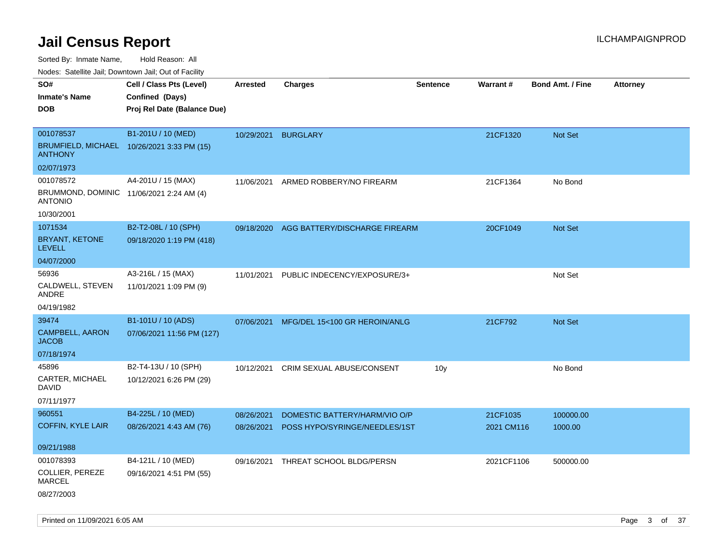Sorted By: Inmate Name, Hold Reason: All

Nodes: Satellite Jail; Downtown Jail; Out of Facility

| SO#                                                          | Cell / Class Pts (Level)    | <b>Arrested</b> | <b>Charges</b>                | <b>Sentence</b> | Warrant#   | <b>Bond Amt. / Fine</b> | <b>Attorney</b> |
|--------------------------------------------------------------|-----------------------------|-----------------|-------------------------------|-----------------|------------|-------------------------|-----------------|
| <b>Inmate's Name</b>                                         | Confined (Days)             |                 |                               |                 |            |                         |                 |
| <b>DOB</b>                                                   | Proj Rel Date (Balance Due) |                 |                               |                 |            |                         |                 |
|                                                              |                             |                 |                               |                 |            |                         |                 |
| 001078537                                                    | B1-201U / 10 (MED)          | 10/29/2021      | <b>BURGLARY</b>               |                 | 21CF1320   | Not Set                 |                 |
| BRUMFIELD, MICHAEL 10/26/2021 3:33 PM (15)<br><b>ANTHONY</b> |                             |                 |                               |                 |            |                         |                 |
| 02/07/1973                                                   |                             |                 |                               |                 |            |                         |                 |
| 001078572                                                    | A4-201U / 15 (MAX)          | 11/06/2021      | ARMED ROBBERY/NO FIREARM      |                 | 21CF1364   | No Bond                 |                 |
| BRUMMOND, DOMINIC 11/06/2021 2:24 AM (4)<br><b>ANTONIO</b>   |                             |                 |                               |                 |            |                         |                 |
| 10/30/2001                                                   |                             |                 |                               |                 |            |                         |                 |
| 1071534                                                      | B2-T2-08L / 10 (SPH)        | 09/18/2020      | AGG BATTERY/DISCHARGE FIREARM |                 | 20CF1049   | Not Set                 |                 |
| BRYANT, KETONE<br><b>LEVELL</b>                              | 09/18/2020 1:19 PM (418)    |                 |                               |                 |            |                         |                 |
| 04/07/2000                                                   |                             |                 |                               |                 |            |                         |                 |
| 56936                                                        | A3-216L / 15 (MAX)          | 11/01/2021      | PUBLIC INDECENCY/EXPOSURE/3+  |                 |            | Not Set                 |                 |
| CALDWELL, STEVEN<br>ANDRE                                    | 11/01/2021 1:09 PM (9)      |                 |                               |                 |            |                         |                 |
| 04/19/1982                                                   |                             |                 |                               |                 |            |                         |                 |
| 39474                                                        | B1-101U / 10 (ADS)          | 07/06/2021      | MFG/DEL 15<100 GR HEROIN/ANLG |                 | 21CF792    | <b>Not Set</b>          |                 |
| <b>CAMPBELL, AARON</b><br><b>JACOB</b>                       | 07/06/2021 11:56 PM (127)   |                 |                               |                 |            |                         |                 |
| 07/18/1974                                                   |                             |                 |                               |                 |            |                         |                 |
| 45896                                                        | B2-T4-13U / 10 (SPH)        | 10/12/2021      | CRIM SEXUAL ABUSE/CONSENT     | 10 <sub>y</sub> |            | No Bond                 |                 |
| CARTER, MICHAEL<br><b>DAVID</b>                              | 10/12/2021 6:26 PM (29)     |                 |                               |                 |            |                         |                 |
| 07/11/1977                                                   |                             |                 |                               |                 |            |                         |                 |
| 960551                                                       | B4-225L / 10 (MED)          | 08/26/2021      | DOMESTIC BATTERY/HARM/VIO O/P |                 | 21CF1035   | 100000.00               |                 |
| <b>COFFIN, KYLE LAIR</b>                                     | 08/26/2021 4:43 AM (76)     | 08/26/2021      | POSS HYPO/SYRINGE/NEEDLES/1ST |                 | 2021 CM116 | 1000.00                 |                 |
|                                                              |                             |                 |                               |                 |            |                         |                 |
| 09/21/1988                                                   |                             |                 |                               |                 |            |                         |                 |
| 001078393                                                    | B4-121L / 10 (MED)          | 09/16/2021      | THREAT SCHOOL BLDG/PERSN      |                 | 2021CF1106 | 500000.00               |                 |
| COLLIER, PEREZE<br><b>MARCEL</b>                             | 09/16/2021 4:51 PM (55)     |                 |                               |                 |            |                         |                 |
| 08/27/2003                                                   |                             |                 |                               |                 |            |                         |                 |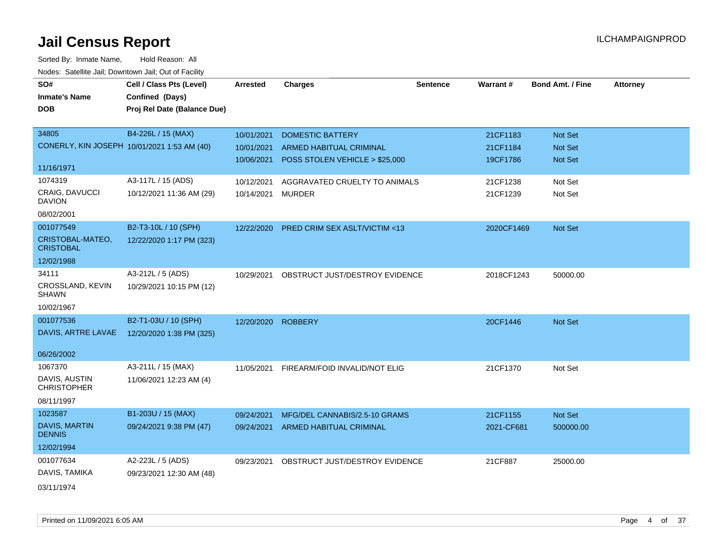| roaco. Catolino cali, Downtown cali, Out of Facility |                                             |                 |                                         |                 |            |                         |                 |
|------------------------------------------------------|---------------------------------------------|-----------------|-----------------------------------------|-----------------|------------|-------------------------|-----------------|
| SO#                                                  | Cell / Class Pts (Level)                    | <b>Arrested</b> | <b>Charges</b>                          | <b>Sentence</b> | Warrant#   | <b>Bond Amt. / Fine</b> | <b>Attorney</b> |
| <b>Inmate's Name</b>                                 | Confined (Days)                             |                 |                                         |                 |            |                         |                 |
| <b>DOB</b>                                           | Proj Rel Date (Balance Due)                 |                 |                                         |                 |            |                         |                 |
|                                                      |                                             |                 |                                         |                 |            |                         |                 |
| 34805                                                | B4-226L / 15 (MAX)                          | 10/01/2021      | <b>DOMESTIC BATTERY</b>                 |                 | 21CF1183   | Not Set                 |                 |
|                                                      | CONERLY, KIN JOSEPH 10/01/2021 1:53 AM (40) | 10/01/2021      | <b>ARMED HABITUAL CRIMINAL</b>          |                 | 21CF1184   | Not Set                 |                 |
|                                                      |                                             | 10/06/2021      | POSS STOLEN VEHICLE > \$25,000          |                 | 19CF1786   | <b>Not Set</b>          |                 |
| 11/16/1971                                           |                                             |                 |                                         |                 |            |                         |                 |
| 1074319                                              | A3-117L / 15 (ADS)                          | 10/12/2021      | AGGRAVATED CRUELTY TO ANIMALS           |                 | 21CF1238   | Not Set                 |                 |
| <b>CRAIG, DAVUCCI</b><br><b>DAVION</b>               | 10/12/2021 11:36 AM (29)                    | 10/14/2021      | <b>MURDER</b>                           |                 | 21CF1239   | Not Set                 |                 |
| 08/02/2001                                           |                                             |                 |                                         |                 |            |                         |                 |
| 001077549                                            | B2-T3-10L / 10 (SPH)                        | 12/22/2020      | <b>PRED CRIM SEX ASLT/VICTIM &lt;13</b> |                 | 2020CF1469 | Not Set                 |                 |
| CRISTOBAL-MATEO,<br><b>CRISTOBAL</b>                 | 12/22/2020 1:17 PM (323)                    |                 |                                         |                 |            |                         |                 |
| 12/02/1988                                           |                                             |                 |                                         |                 |            |                         |                 |
| 34111                                                | A3-212L / 5 (ADS)                           | 10/29/2021      | OBSTRUCT JUST/DESTROY EVIDENCE          |                 | 2018CF1243 | 50000.00                |                 |
| CROSSLAND, KEVIN<br><b>SHAWN</b>                     | 10/29/2021 10:15 PM (12)                    |                 |                                         |                 |            |                         |                 |
| 10/02/1967                                           |                                             |                 |                                         |                 |            |                         |                 |
| 001077536                                            | B2-T1-03U / 10 (SPH)                        | 12/20/2020      | <b>ROBBERY</b>                          |                 | 20CF1446   | <b>Not Set</b>          |                 |
| DAVIS, ARTRE LAVAE                                   | 12/20/2020 1:38 PM (325)                    |                 |                                         |                 |            |                         |                 |
|                                                      |                                             |                 |                                         |                 |            |                         |                 |
| 06/26/2002                                           |                                             |                 |                                         |                 |            |                         |                 |
| 1067370                                              | A3-211L / 15 (MAX)                          | 11/05/2021      | FIREARM/FOID INVALID/NOT ELIG           |                 | 21CF1370   | Not Set                 |                 |
| DAVIS, AUSTIN<br><b>CHRISTOPHER</b>                  | 11/06/2021 12:23 AM (4)                     |                 |                                         |                 |            |                         |                 |
| 08/11/1997                                           |                                             |                 |                                         |                 |            |                         |                 |
| 1023587                                              | B1-203U / 15 (MAX)                          | 09/24/2021      | MFG/DEL CANNABIS/2.5-10 GRAMS           |                 | 21CF1155   | Not Set                 |                 |
| DAVIS, MARTIN<br><b>DENNIS</b>                       | 09/24/2021 9:38 PM (47)                     | 09/24/2021      | ARMED HABITUAL CRIMINAL                 |                 | 2021-CF681 | 500000.00               |                 |
| 12/02/1994                                           |                                             |                 |                                         |                 |            |                         |                 |
| 001077634                                            | A2-223L / 5 (ADS)                           | 09/23/2021      | OBSTRUCT JUST/DESTROY EVIDENCE          |                 | 21CF887    | 25000.00                |                 |
| DAVIS, TAMIKA                                        | 09/23/2021 12:30 AM (48)                    |                 |                                         |                 |            |                         |                 |
| 03/11/1974                                           |                                             |                 |                                         |                 |            |                         |                 |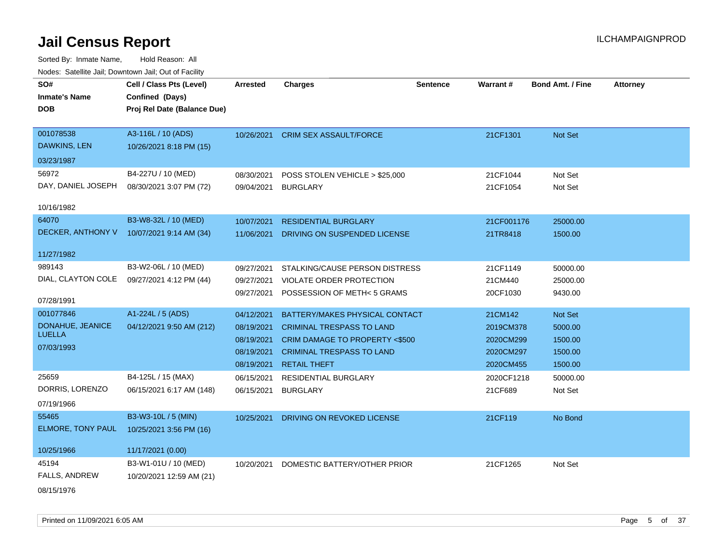| SO#<br><b>Inmate's Name</b><br><b>DOB</b>                    | Cell / Class Pts (Level)<br>Confined (Days)<br>Proj Rel Date (Balance Due) | <b>Arrested</b>                                                    | <b>Charges</b>                                                                                                                                                  | <b>Sentence</b> | Warrant#                                                    | <b>Bond Amt. / Fine</b>                             | <b>Attorney</b> |
|--------------------------------------------------------------|----------------------------------------------------------------------------|--------------------------------------------------------------------|-----------------------------------------------------------------------------------------------------------------------------------------------------------------|-----------------|-------------------------------------------------------------|-----------------------------------------------------|-----------------|
| 001078538<br>DAWKINS, LEN<br>03/23/1987                      | A3-116L / 10 (ADS)<br>10/26/2021 8:18 PM (15)                              | 10/26/2021                                                         | <b>CRIM SEX ASSAULT/FORCE</b>                                                                                                                                   |                 | 21CF1301                                                    | Not Set                                             |                 |
| 56972<br>DAY, DANIEL JOSEPH<br>10/16/1982                    | B4-227U / 10 (MED)<br>08/30/2021 3:07 PM (72)                              | 08/30/2021<br>09/04/2021                                           | POSS STOLEN VEHICLE > \$25,000<br><b>BURGLARY</b>                                                                                                               |                 | 21CF1044<br>21CF1054                                        | Not Set<br>Not Set                                  |                 |
| 64070<br>DECKER, ANTHONY V<br>11/27/1982                     | B3-W8-32L / 10 (MED)<br>10/07/2021 9:14 AM (34)                            | 10/07/2021<br>11/06/2021                                           | <b>RESIDENTIAL BURGLARY</b><br>DRIVING ON SUSPENDED LICENSE                                                                                                     |                 | 21CF001176<br>21TR8418                                      | 25000.00<br>1500.00                                 |                 |
| 989143<br>DIAL, CLAYTON COLE<br>07/28/1991                   | B3-W2-06L / 10 (MED)<br>09/27/2021 4:12 PM (44)                            | 09/27/2021<br>09/27/2021<br>09/27/2021                             | STALKING/CAUSE PERSON DISTRESS<br>VIOLATE ORDER PROTECTION<br>POSSESSION OF METH< 5 GRAMS                                                                       |                 | 21CF1149<br>21CM440<br>20CF1030                             | 50000.00<br>25000.00<br>9430.00                     |                 |
| 001077846<br>DONAHUE, JEANICE<br><b>LUELLA</b><br>07/03/1993 | A1-224L / 5 (ADS)<br>04/12/2021 9:50 AM (212)                              | 04/12/2021<br>08/19/2021<br>08/19/2021<br>08/19/2021<br>08/19/2021 | BATTERY/MAKES PHYSICAL CONTACT<br><b>CRIMINAL TRESPASS TO LAND</b><br>CRIM DAMAGE TO PROPERTY <\$500<br><b>CRIMINAL TRESPASS TO LAND</b><br><b>RETAIL THEFT</b> |                 | 21CM142<br>2019CM378<br>2020CM299<br>2020CM297<br>2020CM455 | Not Set<br>5000.00<br>1500.00<br>1500.00<br>1500.00 |                 |
| 25659<br>DORRIS, LORENZO<br>07/19/1966                       | B4-125L / 15 (MAX)<br>06/15/2021 6:17 AM (148)                             | 06/15/2021<br>06/15/2021                                           | <b>RESIDENTIAL BURGLARY</b><br><b>BURGLARY</b>                                                                                                                  |                 | 2020CF1218<br>21CF689                                       | 50000.00<br>Not Set                                 |                 |
| 55465<br>ELMORE, TONY PAUL<br>10/25/1966                     | B3-W3-10L / 5 (MIN)<br>10/25/2021 3:56 PM (16)<br>11/17/2021 (0.00)        | 10/25/2021                                                         | DRIVING ON REVOKED LICENSE                                                                                                                                      |                 | 21CF119                                                     | No Bond                                             |                 |
| 45194<br><b>FALLS, ANDREW</b><br>08/15/1976                  | B3-W1-01U / 10 (MED)<br>10/20/2021 12:59 AM (21)                           | 10/20/2021                                                         | DOMESTIC BATTERY/OTHER PRIOR                                                                                                                                    |                 | 21CF1265                                                    | Not Set                                             |                 |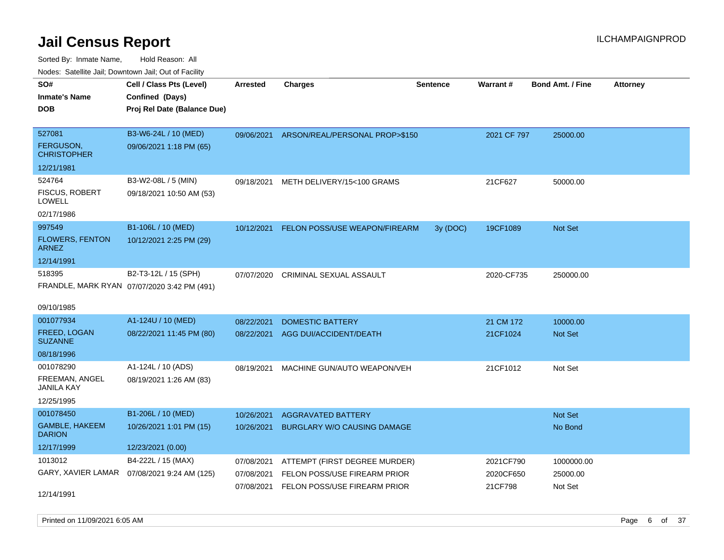Sorted By: Inmate Name, Hold Reason: All Nodes: Satellite Jail; Downtown Jail; Out of Facility

| SO#                                    | Cell / Class Pts (Level)                     | <b>Arrested</b> | <b>Charges</b>                       | <b>Sentence</b> | Warrant#    | <b>Bond Amt. / Fine</b> | <b>Attorney</b> |
|----------------------------------------|----------------------------------------------|-----------------|--------------------------------------|-----------------|-------------|-------------------------|-----------------|
| <b>Inmate's Name</b>                   | Confined (Days)                              |                 |                                      |                 |             |                         |                 |
| <b>DOB</b>                             | Proj Rel Date (Balance Due)                  |                 |                                      |                 |             |                         |                 |
| 527081                                 | B3-W6-24L / 10 (MED)                         | 09/06/2021      | ARSON/REAL/PERSONAL PROP>\$150       |                 | 2021 CF 797 | 25000.00                |                 |
| <b>FERGUSON,</b><br><b>CHRISTOPHER</b> | 09/06/2021 1:18 PM (65)                      |                 |                                      |                 |             |                         |                 |
| 12/21/1981                             |                                              |                 |                                      |                 |             |                         |                 |
| 524764                                 | B3-W2-08L / 5 (MIN)                          | 09/18/2021      | METH DELIVERY/15<100 GRAMS           |                 | 21CF627     | 50000.00                |                 |
| <b>FISCUS, ROBERT</b><br><b>LOWELL</b> | 09/18/2021 10:50 AM (53)                     |                 |                                      |                 |             |                         |                 |
| 02/17/1986                             |                                              |                 |                                      |                 |             |                         |                 |
| 997549                                 | B1-106L / 10 (MED)                           | 10/12/2021      | <b>FELON POSS/USE WEAPON/FIREARM</b> | 3y (DOC)        | 19CF1089    | Not Set                 |                 |
| <b>FLOWERS, FENTON</b><br><b>ARNEZ</b> | 10/12/2021 2:25 PM (29)                      |                 |                                      |                 |             |                         |                 |
| 12/14/1991                             |                                              |                 |                                      |                 |             |                         |                 |
| 518395                                 | B2-T3-12L / 15 (SPH)                         | 07/07/2020      | CRIMINAL SEXUAL ASSAULT              |                 | 2020-CF735  | 250000.00               |                 |
|                                        | FRANDLE, MARK RYAN 07/07/2020 3:42 PM (491)  |                 |                                      |                 |             |                         |                 |
|                                        |                                              |                 |                                      |                 |             |                         |                 |
| 09/10/1985                             |                                              |                 |                                      |                 |             |                         |                 |
| 001077934                              | A1-124U / 10 (MED)                           | 08/22/2021      | <b>DOMESTIC BATTERY</b>              |                 | 21 CM 172   | 10000.00                |                 |
| FREED, LOGAN<br><b>SUZANNE</b>         | 08/22/2021 11:45 PM (80)                     | 08/22/2021      | AGG DUI/ACCIDENT/DEATH               |                 | 21CF1024    | Not Set                 |                 |
| 08/18/1996                             |                                              |                 |                                      |                 |             |                         |                 |
| 001078290                              | A1-124L / 10 (ADS)                           | 08/19/2021      | MACHINE GUN/AUTO WEAPON/VEH          |                 | 21CF1012    | Not Set                 |                 |
| FREEMAN, ANGEL<br><b>JANILA KAY</b>    | 08/19/2021 1:26 AM (83)                      |                 |                                      |                 |             |                         |                 |
| 12/25/1995                             |                                              |                 |                                      |                 |             |                         |                 |
| 001078450                              | B1-206L / 10 (MED)                           | 10/26/2021      | <b>AGGRAVATED BATTERY</b>            |                 |             | Not Set                 |                 |
| <b>GAMBLE, HAKEEM</b><br><b>DARION</b> | 10/26/2021 1:01 PM (15)                      | 10/26/2021      | <b>BURGLARY W/O CAUSING DAMAGE</b>   |                 |             | No Bond                 |                 |
| 12/17/1999                             | 12/23/2021 (0.00)                            |                 |                                      |                 |             |                         |                 |
| 1013012                                | B4-222L / 15 (MAX)                           | 07/08/2021      | ATTEMPT (FIRST DEGREE MURDER)        |                 | 2021CF790   | 1000000.00              |                 |
|                                        | GARY, XAVIER LAMAR  07/08/2021 9:24 AM (125) | 07/08/2021      | FELON POSS/USE FIREARM PRIOR         |                 | 2020CF650   | 25000.00                |                 |
|                                        |                                              | 07/08/2021      | FELON POSS/USE FIREARM PRIOR         |                 | 21CF798     | Not Set                 |                 |
| 12/14/1991                             |                                              |                 |                                      |                 |             |                         |                 |

Printed on 11/09/2021 6:05 AM **Page 6** of 37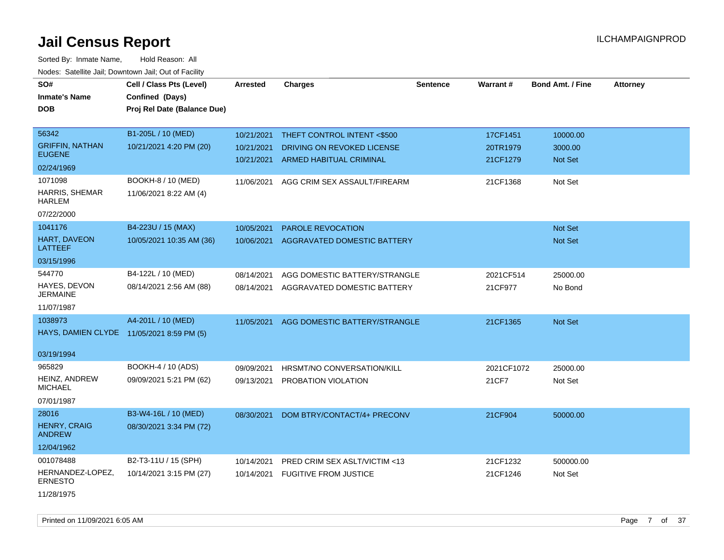| SO#                                       | Cell / Class Pts (Level)    | <b>Arrested</b> | <b>Charges</b>                          | <b>Sentence</b> | Warrant#   | <b>Bond Amt. / Fine</b> | <b>Attorney</b> |
|-------------------------------------------|-----------------------------|-----------------|-----------------------------------------|-----------------|------------|-------------------------|-----------------|
| <b>Inmate's Name</b>                      | Confined (Days)             |                 |                                         |                 |            |                         |                 |
| <b>DOB</b>                                | Proj Rel Date (Balance Due) |                 |                                         |                 |            |                         |                 |
|                                           |                             |                 |                                         |                 |            |                         |                 |
| 56342                                     | B1-205L / 10 (MED)          | 10/21/2021      | THEFT CONTROL INTENT <\$500             |                 | 17CF1451   | 10000.00                |                 |
| <b>GRIFFIN, NATHAN</b>                    | 10/21/2021 4:20 PM (20)     | 10/21/2021      | DRIVING ON REVOKED LICENSE              |                 | 20TR1979   | 3000.00                 |                 |
| <b>EUGENE</b>                             |                             | 10/21/2021      | ARMED HABITUAL CRIMINAL                 |                 | 21CF1279   | Not Set                 |                 |
| 02/24/1969                                |                             |                 |                                         |                 |            |                         |                 |
| 1071098                                   | BOOKH-8 / 10 (MED)          | 11/06/2021      | AGG CRIM SEX ASSAULT/FIREARM            |                 | 21CF1368   | Not Set                 |                 |
| HARRIS, SHEMAR<br><b>HARLEM</b>           | 11/06/2021 8:22 AM (4)      |                 |                                         |                 |            |                         |                 |
| 07/22/2000                                |                             |                 |                                         |                 |            |                         |                 |
| 1041176                                   | B4-223U / 15 (MAX)          | 10/05/2021      | <b>PAROLE REVOCATION</b>                |                 |            | Not Set                 |                 |
| <b>HART, DAVEON</b><br>LATTEEF            | 10/05/2021 10:35 AM (36)    | 10/06/2021      | <b>AGGRAVATED DOMESTIC BATTERY</b>      |                 |            | Not Set                 |                 |
| 03/15/1996                                |                             |                 |                                         |                 |            |                         |                 |
| 544770                                    | B4-122L / 10 (MED)          | 08/14/2021      | AGG DOMESTIC BATTERY/STRANGLE           |                 | 2021CF514  | 25000.00                |                 |
| HAYES, DEVON<br>JERMAINE                  | 08/14/2021 2:56 AM (88)     | 08/14/2021      | AGGRAVATED DOMESTIC BATTERY             |                 | 21CF977    | No Bond                 |                 |
| 11/07/1987                                |                             |                 |                                         |                 |            |                         |                 |
| 1038973                                   | A4-201L / 10 (MED)          | 11/05/2021      | AGG DOMESTIC BATTERY/STRANGLE           |                 | 21CF1365   | Not Set                 |                 |
| HAYS, DAMIEN CLYDE 11/05/2021 8:59 PM (5) |                             |                 |                                         |                 |            |                         |                 |
| 03/19/1994                                |                             |                 |                                         |                 |            |                         |                 |
| 965829                                    | BOOKH-4 / 10 (ADS)          | 09/09/2021      | HRSMT/NO CONVERSATION/KILL              |                 | 2021CF1072 | 25000.00                |                 |
| HEINZ, ANDREW<br><b>MICHAEL</b>           | 09/09/2021 5:21 PM (62)     | 09/13/2021      | PROBATION VIOLATION                     |                 | 21CF7      | Not Set                 |                 |
| 07/01/1987                                |                             |                 |                                         |                 |            |                         |                 |
| 28016                                     | B3-W4-16L / 10 (MED)        | 08/30/2021      | DOM BTRY/CONTACT/4+ PRECONV             |                 | 21CF904    | 50000.00                |                 |
| <b>HENRY, CRAIG</b><br><b>ANDREW</b>      | 08/30/2021 3:34 PM (72)     |                 |                                         |                 |            |                         |                 |
| 12/04/1962                                |                             |                 |                                         |                 |            |                         |                 |
| 001078488                                 | B2-T3-11U / 15 (SPH)        | 10/14/2021      | <b>PRED CRIM SEX ASLT/VICTIM &lt;13</b> |                 | 21CF1232   | 500000.00               |                 |
| HERNANDEZ-LOPEZ,<br>ERNESTO               | 10/14/2021 3:15 PM (27)     | 10/14/2021      | <b>FUGITIVE FROM JUSTICE</b>            |                 | 21CF1246   | Not Set                 |                 |
| 11/28/1975                                |                             |                 |                                         |                 |            |                         |                 |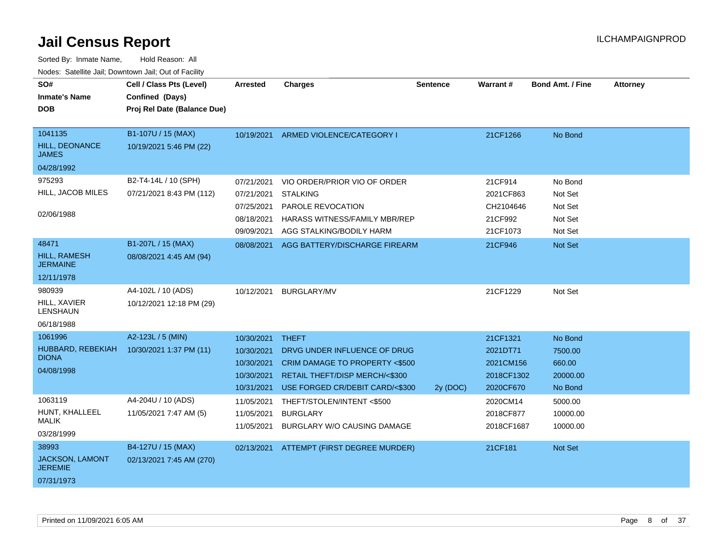| SO#<br><b>Inmate's Name</b><br><b>DOB</b>                      | Cell / Class Pts (Level)<br>Confined (Days)<br>Proj Rel Date (Balance Due) | <b>Arrested</b>                                                    | <b>Charges</b>                                                                                                                                      | <b>Sentence</b> | <b>Warrant#</b>                                              | <b>Bond Amt. / Fine</b>                             | <b>Attorney</b> |
|----------------------------------------------------------------|----------------------------------------------------------------------------|--------------------------------------------------------------------|-----------------------------------------------------------------------------------------------------------------------------------------------------|-----------------|--------------------------------------------------------------|-----------------------------------------------------|-----------------|
| 1041135<br><b>HILL, DEONANCE</b><br><b>JAMES</b><br>04/28/1992 | B1-107U / 15 (MAX)<br>10/19/2021 5:46 PM (22)                              |                                                                    | 10/19/2021 ARMED VIOLENCE/CATEGORY I                                                                                                                |                 | 21CF1266                                                     | No Bond                                             |                 |
| 975293<br>HILL, JACOB MILES<br>02/06/1988                      | B2-T4-14L / 10 (SPH)<br>07/21/2021 8:43 PM (112)                           | 07/21/2021<br>07/21/2021<br>07/25/2021<br>08/18/2021<br>09/09/2021 | VIO ORDER/PRIOR VIO OF ORDER<br><b>STALKING</b><br><b>PAROLE REVOCATION</b><br><b>HARASS WITNESS/FAMILY MBR/REP</b><br>AGG STALKING/BODILY HARM     |                 | 21CF914<br>2021CF863<br>CH2104646<br>21CF992<br>21CF1073     | No Bond<br>Not Set<br>Not Set<br>Not Set<br>Not Set |                 |
| 48471<br><b>HILL, RAMESH</b><br><b>JERMAINE</b><br>12/11/1978  | B1-207L / 15 (MAX)<br>08/08/2021 4:45 AM (94)                              |                                                                    | 08/08/2021 AGG BATTERY/DISCHARGE FIREARM                                                                                                            |                 | 21CF946                                                      | Not Set                                             |                 |
| 980939<br>HILL, XAVIER<br><b>LENSHAUN</b><br>06/18/1988        | A4-102L / 10 (ADS)<br>10/12/2021 12:18 PM (29)                             | 10/12/2021                                                         | <b>BURGLARY/MV</b>                                                                                                                                  |                 | 21CF1229                                                     | Not Set                                             |                 |
| 1061996<br>HUBBARD, REBEKIAH<br><b>DIONA</b><br>04/08/1998     | A2-123L / 5 (MIN)<br>10/30/2021 1:37 PM (11)                               | 10/30/2021<br>10/30/2021<br>10/30/2021<br>10/30/2021<br>10/31/2021 | <b>THEFT</b><br>DRVG UNDER INFLUENCE OF DRUG<br>CRIM DAMAGE TO PROPERTY <\$500<br>RETAIL THEFT/DISP MERCH/<\$300<br>USE FORGED CR/DEBIT CARD/<\$300 | 2y (DOC)        | 21CF1321<br>2021DT71<br>2021CM156<br>2018CF1302<br>2020CF670 | No Bond<br>7500.00<br>660.00<br>20000.00<br>No Bond |                 |
| 1063119<br>HUNT, KHALLEEL<br><b>MALIK</b><br>03/28/1999        | A4-204U / 10 (ADS)<br>11/05/2021 7:47 AM (5)                               | 11/05/2021<br>11/05/2021<br>11/05/2021                             | THEFT/STOLEN/INTENT <\$500<br><b>BURGLARY</b><br>BURGLARY W/O CAUSING DAMAGE                                                                        |                 | 2020CM14<br>2018CF877<br>2018CF1687                          | 5000.00<br>10000.00<br>10000.00                     |                 |
| 38993<br>JACKSON, LAMONT<br><b>JEREMIE</b><br>07/31/1973       | B4-127U / 15 (MAX)<br>02/13/2021 7:45 AM (270)                             |                                                                    | 02/13/2021 ATTEMPT (FIRST DEGREE MURDER)                                                                                                            |                 | 21CF181                                                      | Not Set                                             |                 |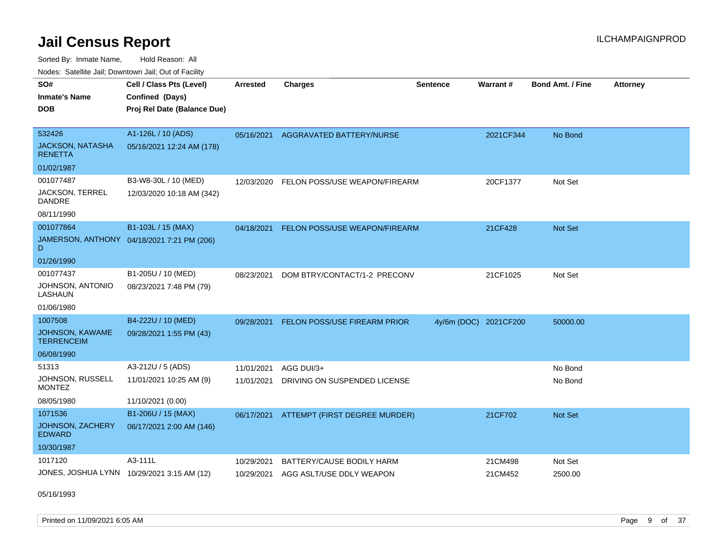Sorted By: Inmate Name, Hold Reason: All

Nodes: Satellite Jail; Downtown Jail; Out of Facility

| SO#                                         | Cell / Class Pts (Level)                   | <b>Arrested</b> | <b>Charges</b>                           | <b>Sentence</b>       | Warrant#  | <b>Bond Amt. / Fine</b> | <b>Attorney</b> |
|---------------------------------------------|--------------------------------------------|-----------------|------------------------------------------|-----------------------|-----------|-------------------------|-----------------|
| <b>Inmate's Name</b>                        | Confined (Days)                            |                 |                                          |                       |           |                         |                 |
| <b>DOB</b>                                  | Proj Rel Date (Balance Due)                |                 |                                          |                       |           |                         |                 |
|                                             |                                            |                 |                                          |                       |           |                         |                 |
| 532426                                      | A1-126L / 10 (ADS)                         | 05/16/2021      | AGGRAVATED BATTERY/NURSE                 |                       | 2021CF344 | No Bond                 |                 |
| <b>JACKSON, NATASHA</b><br><b>RENETTA</b>   | 05/16/2021 12:24 AM (178)                  |                 |                                          |                       |           |                         |                 |
| 01/02/1987                                  |                                            |                 |                                          |                       |           |                         |                 |
| 001077487                                   | B3-W8-30L / 10 (MED)                       | 12/03/2020      | FELON POSS/USE WEAPON/FIREARM            |                       | 20CF1377  | Not Set                 |                 |
| JACKSON, TERREL<br><b>DANDRE</b>            | 12/03/2020 10:18 AM (342)                  |                 |                                          |                       |           |                         |                 |
| 08/11/1990                                  |                                            |                 |                                          |                       |           |                         |                 |
| 001077864                                   | B1-103L / 15 (MAX)                         | 04/18/2021      | FELON POSS/USE WEAPON/FIREARM            |                       | 21CF428   | <b>Not Set</b>          |                 |
| D                                           | JAMERSON, ANTHONY 04/18/2021 7:21 PM (206) |                 |                                          |                       |           |                         |                 |
| 01/26/1990                                  |                                            |                 |                                          |                       |           |                         |                 |
| 001077437                                   | B1-205U / 10 (MED)                         | 08/23/2021      | DOM BTRY/CONTACT/1-2 PRECONV             |                       | 21CF1025  | Not Set                 |                 |
| JOHNSON, ANTONIO<br><b>LASHAUN</b>          | 08/23/2021 7:48 PM (79)                    |                 |                                          |                       |           |                         |                 |
| 01/06/1980                                  |                                            |                 |                                          |                       |           |                         |                 |
| 1007508                                     | B4-222U / 10 (MED)                         | 09/28/2021      | FELON POSS/USE FIREARM PRIOR             | 4y/6m (DOC) 2021CF200 |           | 50000.00                |                 |
| <b>JOHNSON, KAWAME</b><br><b>TERRENCEIM</b> | 09/28/2021 1:55 PM (43)                    |                 |                                          |                       |           |                         |                 |
| 06/08/1990                                  |                                            |                 |                                          |                       |           |                         |                 |
| 51313                                       | A3-212U / 5 (ADS)                          | 11/01/2021      | AGG DUI/3+                               |                       |           | No Bond                 |                 |
| JOHNSON, RUSSELL<br><b>MONTEZ</b>           | 11/01/2021 10:25 AM (9)                    | 11/01/2021      | DRIVING ON SUSPENDED LICENSE             |                       |           | No Bond                 |                 |
| 08/05/1980                                  | 11/10/2021 (0.00)                          |                 |                                          |                       |           |                         |                 |
| 1071536                                     | B1-206U / 15 (MAX)                         |                 | 06/17/2021 ATTEMPT (FIRST DEGREE MURDER) |                       | 21CF702   | <b>Not Set</b>          |                 |
| JOHNSON, ZACHERY<br><b>EDWARD</b>           | 06/17/2021 2:00 AM (146)                   |                 |                                          |                       |           |                         |                 |
| 10/30/1987                                  |                                            |                 |                                          |                       |           |                         |                 |
| 1017120                                     | A3-111L                                    | 10/29/2021      | BATTERY/CAUSE BODILY HARM                |                       | 21CM498   | Not Set                 |                 |
| JONES, JOSHUA LYNN 10/29/2021 3:15 AM (12)  |                                            |                 | 10/29/2021 AGG ASLT/USE DDLY WEAPON      |                       | 21CM452   | 2500.00                 |                 |

05/16/1993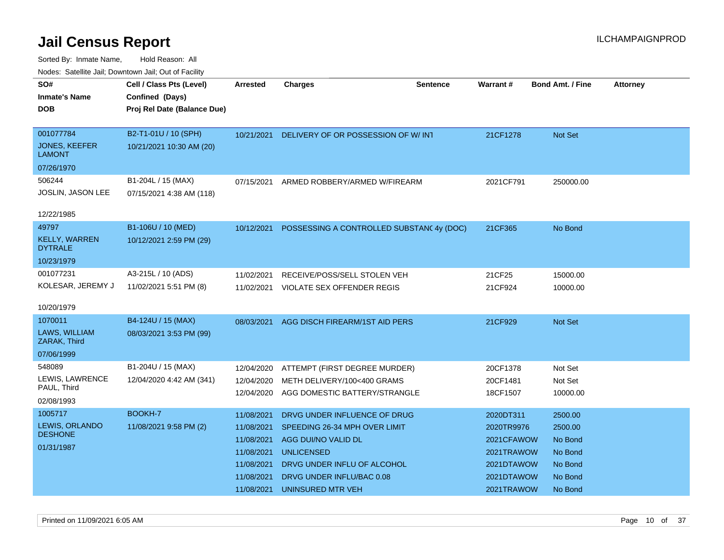| SO#                                    | Cell / Class Pts (Level)    | <b>Arrested</b> | <b>Charges</b>                            | <b>Sentence</b> | <b>Warrant#</b> | <b>Bond Amt. / Fine</b> | <b>Attorney</b> |
|----------------------------------------|-----------------------------|-----------------|-------------------------------------------|-----------------|-----------------|-------------------------|-----------------|
| <b>Inmate's Name</b>                   | Confined (Days)             |                 |                                           |                 |                 |                         |                 |
| <b>DOB</b>                             | Proj Rel Date (Balance Due) |                 |                                           |                 |                 |                         |                 |
|                                        |                             |                 |                                           |                 |                 |                         |                 |
| 001077784                              | B2-T1-01U / 10 (SPH)        | 10/21/2021      | DELIVERY OF OR POSSESSION OF W/INT        |                 | 21CF1278        | Not Set                 |                 |
| <b>JONES, KEEFER</b><br><b>LAMONT</b>  | 10/21/2021 10:30 AM (20)    |                 |                                           |                 |                 |                         |                 |
| 07/26/1970                             |                             |                 |                                           |                 |                 |                         |                 |
| 506244                                 | B1-204L / 15 (MAX)          |                 | 07/15/2021 ARMED ROBBERY/ARMED W/FIREARM  |                 | 2021CF791       | 250000.00               |                 |
| JOSLIN, JASON LEE                      | 07/15/2021 4:38 AM (118)    |                 |                                           |                 |                 |                         |                 |
|                                        |                             |                 |                                           |                 |                 |                         |                 |
| 12/22/1985                             |                             |                 |                                           |                 |                 |                         |                 |
| 49797                                  | B1-106U / 10 (MED)          | 10/12/2021      | POSSESSING A CONTROLLED SUBSTANC 4y (DOC) |                 | 21CF365         | No Bond                 |                 |
| <b>KELLY, WARREN</b><br><b>DYTRALE</b> | 10/12/2021 2:59 PM (29)     |                 |                                           |                 |                 |                         |                 |
| 10/23/1979                             |                             |                 |                                           |                 |                 |                         |                 |
| 001077231                              | A3-215L / 10 (ADS)          | 11/02/2021      | RECEIVE/POSS/SELL STOLEN VEH              |                 | 21CF25          | 15000.00                |                 |
| KOLESAR, JEREMY J                      | 11/02/2021 5:51 PM (8)      | 11/02/2021      | <b>VIOLATE SEX OFFENDER REGIS</b>         |                 | 21CF924         | 10000.00                |                 |
|                                        |                             |                 |                                           |                 |                 |                         |                 |
| 10/20/1979                             |                             |                 |                                           |                 |                 |                         |                 |
| 1070011                                | B4-124U / 15 (MAX)          | 08/03/2021      | AGG DISCH FIREARM/1ST AID PERS            |                 | 21CF929         | Not Set                 |                 |
| LAWS, WILLIAM<br>ZARAK, Third          | 08/03/2021 3:53 PM (99)     |                 |                                           |                 |                 |                         |                 |
| 07/06/1999                             |                             |                 |                                           |                 |                 |                         |                 |
| 548089                                 | B1-204U / 15 (MAX)          | 12/04/2020      | ATTEMPT (FIRST DEGREE MURDER)             |                 | 20CF1378        | Not Set                 |                 |
| LEWIS, LAWRENCE                        | 12/04/2020 4:42 AM (341)    | 12/04/2020      | METH DELIVERY/100<400 GRAMS               |                 | 20CF1481        | Not Set                 |                 |
| PAUL, Third                            |                             | 12/04/2020      | AGG DOMESTIC BATTERY/STRANGLE             |                 | 18CF1507        | 10000.00                |                 |
| 02/08/1993                             |                             |                 |                                           |                 |                 |                         |                 |
| 1005717                                | BOOKH-7                     | 11/08/2021      | DRVG UNDER INFLUENCE OF DRUG              |                 | 2020DT311       | 2500.00                 |                 |
| LEWIS, ORLANDO                         | 11/08/2021 9:58 PM (2)      | 11/08/2021      | SPEEDING 26-34 MPH OVER LIMIT             |                 | 2020TR9976      | 2500.00                 |                 |
| <b>DESHONE</b>                         |                             | 11/08/2021      | AGG DUI/NO VALID DL                       |                 | 2021CFAWOW      | No Bond                 |                 |
| 01/31/1987                             |                             | 11/08/2021      | <b>UNLICENSED</b>                         |                 | 2021TRAWOW      | No Bond                 |                 |
|                                        |                             | 11/08/2021      | DRVG UNDER INFLU OF ALCOHOL               |                 | 2021DTAWOW      | No Bond                 |                 |
|                                        |                             | 11/08/2021      | DRVG UNDER INFLU/BAC 0.08                 |                 | 2021DTAWOW      | No Bond                 |                 |
|                                        |                             | 11/08/2021      | UNINSURED MTR VEH                         |                 | 2021TRAWOW      | No Bond                 |                 |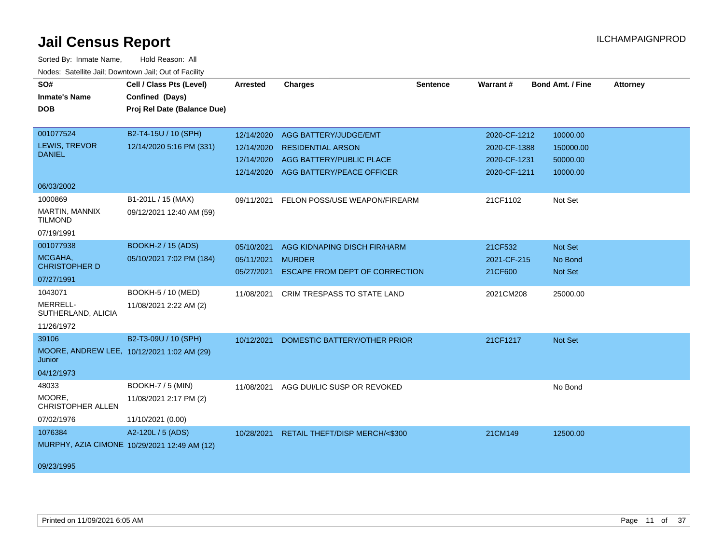| SO#<br><b>Inmate's Name</b><br><b>DOB</b> | Cell / Class Pts (Level)<br>Confined (Days)<br>Proj Rel Date (Balance Due) | Arrested   | <b>Charges</b>                            | <b>Sentence</b> | Warrant#     | <b>Bond Amt. / Fine</b> | <b>Attorney</b> |
|-------------------------------------------|----------------------------------------------------------------------------|------------|-------------------------------------------|-----------------|--------------|-------------------------|-----------------|
|                                           |                                                                            |            |                                           |                 |              |                         |                 |
| 001077524                                 | B2-T4-15U / 10 (SPH)                                                       | 12/14/2020 | AGG BATTERY/JUDGE/EMT                     |                 | 2020-CF-1212 | 10000.00                |                 |
| LEWIS, TREVOR                             | 12/14/2020 5:16 PM (331)                                                   | 12/14/2020 | <b>RESIDENTIAL ARSON</b>                  |                 | 2020-CF-1388 | 150000.00               |                 |
| <b>DANIEL</b>                             |                                                                            | 12/14/2020 | AGG BATTERY/PUBLIC PLACE                  |                 | 2020-CF-1231 | 50000.00                |                 |
|                                           |                                                                            |            | 12/14/2020 AGG BATTERY/PEACE OFFICER      |                 | 2020-CF-1211 | 10000.00                |                 |
| 06/03/2002                                |                                                                            |            |                                           |                 |              |                         |                 |
| 1000869                                   | B1-201L / 15 (MAX)                                                         | 09/11/2021 | FELON POSS/USE WEAPON/FIREARM             |                 | 21CF1102     | Not Set                 |                 |
| MARTIN, MANNIX<br><b>TILMOND</b>          | 09/12/2021 12:40 AM (59)                                                   |            |                                           |                 |              |                         |                 |
| 07/19/1991                                |                                                                            |            |                                           |                 |              |                         |                 |
| 001077938                                 | BOOKH-2 / 15 (ADS)                                                         | 05/10/2021 | AGG KIDNAPING DISCH FIR/HARM              |                 | 21CF532      | Not Set                 |                 |
| MCGAHA,<br><b>CHRISTOPHER D</b>           | 05/10/2021 7:02 PM (184)                                                   | 05/11/2021 | <b>MURDER</b>                             |                 | 2021-CF-215  | No Bond                 |                 |
| 07/27/1991                                |                                                                            | 05/27/2021 | <b>ESCAPE FROM DEPT OF CORRECTION</b>     |                 | 21CF600      | Not Set                 |                 |
| 1043071                                   | BOOKH-5 / 10 (MED)                                                         | 11/08/2021 | CRIM TRESPASS TO STATE LAND               |                 | 2021CM208    | 25000.00                |                 |
| MERRELL-<br>SUTHERLAND, ALICIA            | 11/08/2021 2:22 AM (2)                                                     |            |                                           |                 |              |                         |                 |
| 11/26/1972                                |                                                                            |            |                                           |                 |              |                         |                 |
| 39106                                     | B2-T3-09U / 10 (SPH)                                                       | 10/12/2021 | DOMESTIC BATTERY/OTHER PRIOR              |                 | 21CF1217     | Not Set                 |                 |
| Junior                                    | MOORE, ANDREW LEE, 10/12/2021 1:02 AM (29)                                 |            |                                           |                 |              |                         |                 |
| 04/12/1973                                |                                                                            |            |                                           |                 |              |                         |                 |
| 48033                                     | <b>BOOKH-7 / 5 (MIN)</b>                                                   | 11/08/2021 | AGG DUI/LIC SUSP OR REVOKED               |                 |              | No Bond                 |                 |
| MOORE,<br><b>CHRISTOPHER ALLEN</b>        | 11/08/2021 2:17 PM (2)                                                     |            |                                           |                 |              |                         |                 |
| 07/02/1976                                | 11/10/2021 (0.00)                                                          |            |                                           |                 |              |                         |                 |
| 1076384                                   | A2-120L / 5 (ADS)                                                          |            | 10/28/2021 RETAIL THEFT/DISP MERCH/<\$300 |                 | 21CM149      | 12500.00                |                 |
|                                           | MURPHY, AZIA CIMONE 10/29/2021 12:49 AM (12)                               |            |                                           |                 |              |                         |                 |
| 09/23/1995                                |                                                                            |            |                                           |                 |              |                         |                 |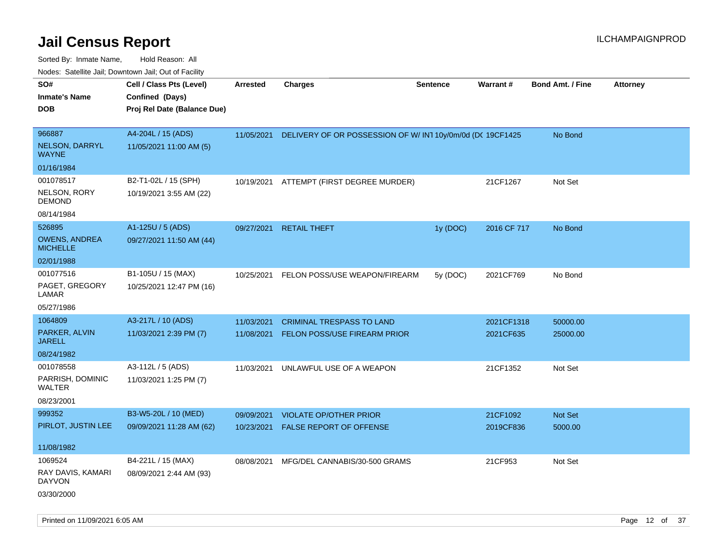Sorted By: Inmate Name, Hold Reason: All Nodes: Satellite Jail; Downtown Jail; Out of Facility

| Noues. Salenne Jan, Downtown Jan, Out of Facility |                             |            |                                                          |                 |             |                         |                 |
|---------------------------------------------------|-----------------------------|------------|----------------------------------------------------------|-----------------|-------------|-------------------------|-----------------|
| SO#                                               | Cell / Class Pts (Level)    | Arrested   | <b>Charges</b>                                           | <b>Sentence</b> | Warrant#    | <b>Bond Amt. / Fine</b> | <b>Attorney</b> |
| <b>Inmate's Name</b>                              | Confined (Days)             |            |                                                          |                 |             |                         |                 |
| <b>DOB</b>                                        | Proj Rel Date (Balance Due) |            |                                                          |                 |             |                         |                 |
|                                                   |                             |            |                                                          |                 |             |                         |                 |
| 966887                                            | A4-204L / 15 (ADS)          | 11/05/2021 | DELIVERY OF OR POSSESSION OF W/IN110y/0m/0d (DC 19CF1425 |                 |             | No Bond                 |                 |
| NELSON, DARRYL<br><b>WAYNE</b>                    | 11/05/2021 11:00 AM (5)     |            |                                                          |                 |             |                         |                 |
| 01/16/1984                                        |                             |            |                                                          |                 |             |                         |                 |
| 001078517                                         | B2-T1-02L / 15 (SPH)        | 10/19/2021 | ATTEMPT (FIRST DEGREE MURDER)                            |                 | 21CF1267    | Not Set                 |                 |
| <b>NELSON, RORY</b><br><b>DEMOND</b>              | 10/19/2021 3:55 AM (22)     |            |                                                          |                 |             |                         |                 |
| 08/14/1984                                        |                             |            |                                                          |                 |             |                         |                 |
| 526895                                            | A1-125U / 5 (ADS)           | 09/27/2021 | <b>RETAIL THEFT</b>                                      | 1y (DOC)        | 2016 CF 717 | No Bond                 |                 |
| <b>OWENS, ANDREA</b><br><b>MICHELLE</b>           | 09/27/2021 11:50 AM (44)    |            |                                                          |                 |             |                         |                 |
| 02/01/1988                                        |                             |            |                                                          |                 |             |                         |                 |
| 001077516                                         | B1-105U / 15 (MAX)          | 10/25/2021 | FELON POSS/USE WEAPON/FIREARM                            | 5y (DOC)        | 2021CF769   | No Bond                 |                 |
| PAGET, GREGORY<br>LAMAR                           | 10/25/2021 12:47 PM (16)    |            |                                                          |                 |             |                         |                 |
| 05/27/1986                                        |                             |            |                                                          |                 |             |                         |                 |
| 1064809                                           | A3-217L / 10 (ADS)          | 11/03/2021 | CRIMINAL TRESPASS TO LAND                                |                 | 2021CF1318  | 50000.00                |                 |
| PARKER, ALVIN<br><b>JARELL</b>                    | 11/03/2021 2:39 PM (7)      | 11/08/2021 | <b>FELON POSS/USE FIREARM PRIOR</b>                      |                 | 2021CF635   | 25000.00                |                 |
| 08/24/1982                                        |                             |            |                                                          |                 |             |                         |                 |
| 001078558                                         | A3-112L / 5 (ADS)           | 11/03/2021 | UNLAWFUL USE OF A WEAPON                                 |                 | 21CF1352    | Not Set                 |                 |
| PARRISH, DOMINIC<br>WALTER                        | 11/03/2021 1:25 PM (7)      |            |                                                          |                 |             |                         |                 |
| 08/23/2001                                        |                             |            |                                                          |                 |             |                         |                 |
| 999352                                            | B3-W5-20L / 10 (MED)        | 09/09/2021 | <b>VIOLATE OP/OTHER PRIOR</b>                            |                 | 21CF1092    | <b>Not Set</b>          |                 |
| PIRLOT, JUSTIN LEE                                | 09/09/2021 11:28 AM (62)    | 10/23/2021 | FALSE REPORT OF OFFENSE                                  |                 | 2019CF836   | 5000.00                 |                 |
| 11/08/1982                                        |                             |            |                                                          |                 |             |                         |                 |
| 1069524                                           | B4-221L / 15 (MAX)          | 08/08/2021 | MFG/DEL CANNABIS/30-500 GRAMS                            |                 | 21CF953     | Not Set                 |                 |
| RAY DAVIS, KAMARI<br><b>DAYVON</b>                | 08/09/2021 2:44 AM (93)     |            |                                                          |                 |             |                         |                 |
| 03/30/2000                                        |                             |            |                                                          |                 |             |                         |                 |

Printed on 11/09/2021 6:05 AM **Page 12** of 37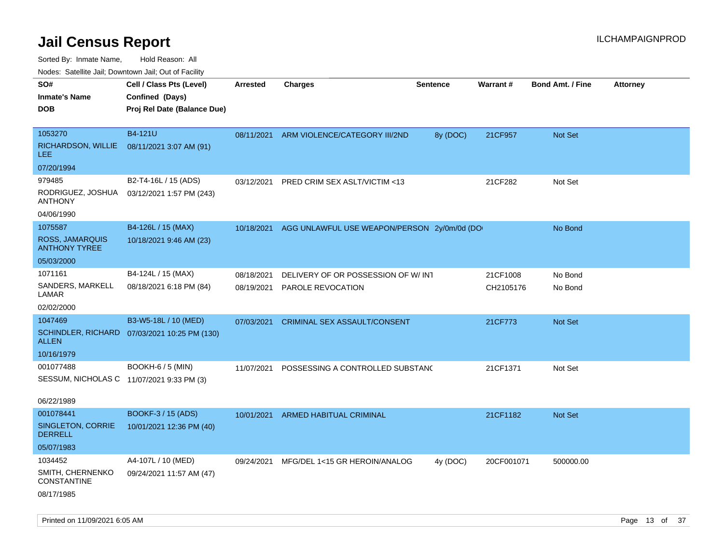Sorted By: Inmate Name, Hold Reason: All

Nodes: Satellite Jail; Downtown Jail; Out of Facility

| ivoues. Salellite Jali, Downtown Jali, Out of Facility |                                              |            |                                             |                 |            |                         |                 |
|--------------------------------------------------------|----------------------------------------------|------------|---------------------------------------------|-----------------|------------|-------------------------|-----------------|
| SO#                                                    | Cell / Class Pts (Level)                     | Arrested   | <b>Charges</b>                              | <b>Sentence</b> | Warrant#   | <b>Bond Amt. / Fine</b> | <b>Attorney</b> |
| <b>Inmate's Name</b>                                   | Confined (Days)                              |            |                                             |                 |            |                         |                 |
| <b>DOB</b>                                             | Proj Rel Date (Balance Due)                  |            |                                             |                 |            |                         |                 |
|                                                        |                                              |            |                                             |                 |            |                         |                 |
| 1053270                                                | B4-121U                                      | 08/11/2021 | ARM VIOLENCE/CATEGORY III/2ND               | 8y (DOC)        | 21CF957    | Not Set                 |                 |
| RICHARDSON, WILLIE<br>LEE.                             | 08/11/2021 3:07 AM (91)                      |            |                                             |                 |            |                         |                 |
| 07/20/1994                                             |                                              |            |                                             |                 |            |                         |                 |
| 979485                                                 | B2-T4-16L / 15 (ADS)                         | 03/12/2021 | PRED CRIM SEX ASLT/VICTIM <13               |                 | 21CF282    | Not Set                 |                 |
| RODRIGUEZ, JOSHUA<br><b>ANTHONY</b>                    | 03/12/2021 1:57 PM (243)                     |            |                                             |                 |            |                         |                 |
| 04/06/1990                                             |                                              |            |                                             |                 |            |                         |                 |
| 1075587                                                | B4-126L / 15 (MAX)                           | 10/18/2021 | AGG UNLAWFUL USE WEAPON/PERSON 2y/0m/0d (DO |                 |            | No Bond                 |                 |
| ROSS, JAMARQUIS<br><b>ANTHONY TYREE</b>                | 10/18/2021 9:46 AM (23)                      |            |                                             |                 |            |                         |                 |
| 05/03/2000                                             |                                              |            |                                             |                 |            |                         |                 |
| 1071161                                                | B4-124L / 15 (MAX)                           | 08/18/2021 | DELIVERY OF OR POSSESSION OF W/INT          |                 | 21CF1008   | No Bond                 |                 |
| SANDERS, MARKELL<br>LAMAR                              | 08/18/2021 6:18 PM (84)                      | 08/19/2021 | PAROLE REVOCATION                           |                 | CH2105176  | No Bond                 |                 |
| 02/02/2000                                             |                                              |            |                                             |                 |            |                         |                 |
| 1047469                                                | B3-W5-18L / 10 (MED)                         | 07/03/2021 | CRIMINAL SEX ASSAULT/CONSENT                |                 | 21CF773    | Not Set                 |                 |
| <b>ALLEN</b>                                           | SCHINDLER, RICHARD 07/03/2021 10:25 PM (130) |            |                                             |                 |            |                         |                 |
| 10/16/1979                                             |                                              |            |                                             |                 |            |                         |                 |
| 001077488                                              | BOOKH-6 / 5 (MIN)                            | 11/07/2021 | POSSESSING A CONTROLLED SUBSTANC            |                 | 21CF1371   | Not Set                 |                 |
| SESSUM, NICHOLAS C 11/07/2021 9:33 PM (3)              |                                              |            |                                             |                 |            |                         |                 |
|                                                        |                                              |            |                                             |                 |            |                         |                 |
| 06/22/1989                                             |                                              |            |                                             |                 |            |                         |                 |
| 001078441                                              | BOOKF-3 / 15 (ADS)                           | 10/01/2021 | ARMED HABITUAL CRIMINAL                     |                 | 21CF1182   | <b>Not Set</b>          |                 |
| SINGLETON, CORRIE<br><b>DERRELL</b>                    | 10/01/2021 12:36 PM (40)                     |            |                                             |                 |            |                         |                 |
| 05/07/1983                                             |                                              |            |                                             |                 |            |                         |                 |
| 1034452                                                | A4-107L / 10 (MED)                           | 09/24/2021 | MFG/DEL 1<15 GR HEROIN/ANALOG               | 4y (DOC)        | 20CF001071 | 500000.00               |                 |
| SMITH, CHERNENKO<br><b>CONSTANTINE</b>                 | 09/24/2021 11:57 AM (47)                     |            |                                             |                 |            |                         |                 |
| 08/17/1985                                             |                                              |            |                                             |                 |            |                         |                 |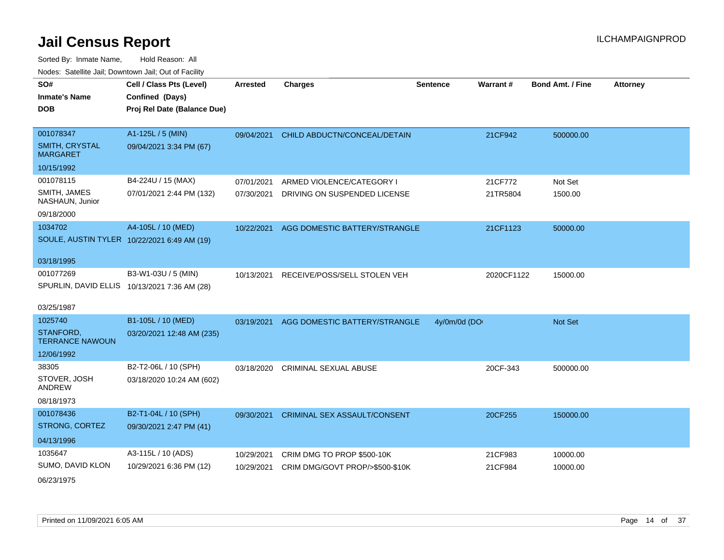| SO#                                      | Cell / Class Pts (Level)                     | <b>Arrested</b> | <b>Charges</b>                      | <b>Sentence</b> | <b>Warrant#</b> | <b>Bond Amt. / Fine</b> | <b>Attorney</b> |
|------------------------------------------|----------------------------------------------|-----------------|-------------------------------------|-----------------|-----------------|-------------------------|-----------------|
| <b>Inmate's Name</b>                     | Confined (Days)                              |                 |                                     |                 |                 |                         |                 |
| <b>DOB</b>                               | Proj Rel Date (Balance Due)                  |                 |                                     |                 |                 |                         |                 |
|                                          |                                              |                 |                                     |                 |                 |                         |                 |
| 001078347                                | A1-125L / 5 (MIN)                            | 09/04/2021      | CHILD ABDUCTN/CONCEAL/DETAIN        |                 | 21CF942         | 500000.00               |                 |
| <b>SMITH, CRYSTAL</b><br><b>MARGARET</b> | 09/04/2021 3:34 PM (67)                      |                 |                                     |                 |                 |                         |                 |
| 10/15/1992                               |                                              |                 |                                     |                 |                 |                         |                 |
| 001078115                                | B4-224U / 15 (MAX)                           | 07/01/2021      | ARMED VIOLENCE/CATEGORY I           |                 | 21CF772         | Not Set                 |                 |
| SMITH, JAMES<br>NASHAUN, Junior          | 07/01/2021 2:44 PM (132)                     | 07/30/2021      | DRIVING ON SUSPENDED LICENSE        |                 | 21TR5804        | 1500.00                 |                 |
| 09/18/2000                               |                                              |                 |                                     |                 |                 |                         |                 |
| 1034702                                  | A4-105L / 10 (MED)                           | 10/22/2021      | AGG DOMESTIC BATTERY/STRANGLE       |                 | 21CF1123        | 50000.00                |                 |
|                                          | SOULE, AUSTIN TYLER 10/22/2021 6:49 AM (19)  |                 |                                     |                 |                 |                         |                 |
|                                          |                                              |                 |                                     |                 |                 |                         |                 |
| 03/18/1995                               |                                              |                 |                                     |                 |                 |                         |                 |
| 001077269                                | B3-W1-03U / 5 (MIN)                          | 10/13/2021      | RECEIVE/POSS/SELL STOLEN VEH        |                 | 2020CF1122      | 15000.00                |                 |
|                                          | SPURLIN, DAVID ELLIS 10/13/2021 7:36 AM (28) |                 |                                     |                 |                 |                         |                 |
| 03/25/1987                               |                                              |                 |                                     |                 |                 |                         |                 |
| 1025740                                  | B1-105L / 10 (MED)                           | 03/19/2021      | AGG DOMESTIC BATTERY/STRANGLE       | 4y/0m/0d (DO    |                 | Not Set                 |                 |
| STANFORD,                                | 03/20/2021 12:48 AM (235)                    |                 |                                     |                 |                 |                         |                 |
| <b>TERRANCE NAWOUN</b>                   |                                              |                 |                                     |                 |                 |                         |                 |
| 12/06/1992                               |                                              |                 |                                     |                 |                 |                         |                 |
| 38305                                    | B2-T2-06L / 10 (SPH)                         | 03/18/2020      | CRIMINAL SEXUAL ABUSE               |                 | 20CF-343        | 500000.00               |                 |
| STOVER, JOSH<br>ANDREW                   | 03/18/2020 10:24 AM (602)                    |                 |                                     |                 |                 |                         |                 |
| 08/18/1973                               |                                              |                 |                                     |                 |                 |                         |                 |
| 001078436                                | B2-T1-04L / 10 (SPH)                         | 09/30/2021      | <b>CRIMINAL SEX ASSAULT/CONSENT</b> |                 | 20CF255         | 150000.00               |                 |
| STRONG, CORTEZ                           | 09/30/2021 2:47 PM (41)                      |                 |                                     |                 |                 |                         |                 |
| 04/13/1996                               |                                              |                 |                                     |                 |                 |                         |                 |
| 1035647                                  | A3-115L / 10 (ADS)                           | 10/29/2021      | CRIM DMG TO PROP \$500-10K          |                 | 21CF983         | 10000.00                |                 |
| SUMO, DAVID KLON                         | 10/29/2021 6:36 PM (12)                      | 10/29/2021      | CRIM DMG/GOVT PROP/>\$500-\$10K     |                 | 21CF984         | 10000.00                |                 |
| 06/23/1975                               |                                              |                 |                                     |                 |                 |                         |                 |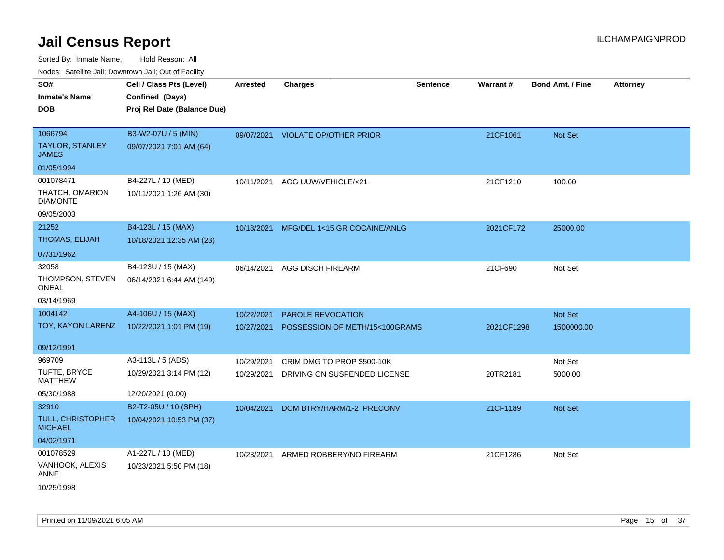| SO#<br><b>Inmate's Name</b>            | Cell / Class Pts (Level)<br>Confined (Days) | <b>Arrested</b> | <b>Charges</b>                      | <b>Sentence</b> | <b>Warrant#</b> | <b>Bond Amt. / Fine</b> | <b>Attorney</b> |
|----------------------------------------|---------------------------------------------|-----------------|-------------------------------------|-----------------|-----------------|-------------------------|-----------------|
| <b>DOB</b>                             | Proj Rel Date (Balance Due)                 |                 |                                     |                 |                 |                         |                 |
| 1066794                                | B3-W2-07U / 5 (MIN)                         | 09/07/2021      | <b>VIOLATE OP/OTHER PRIOR</b>       |                 | 21CF1061        | Not Set                 |                 |
| <b>TAYLOR, STANLEY</b><br><b>JAMES</b> | 09/07/2021 7:01 AM (64)                     |                 |                                     |                 |                 |                         |                 |
| 01/05/1994                             |                                             |                 |                                     |                 |                 |                         |                 |
| 001078471                              | B4-227L / 10 (MED)                          |                 | 10/11/2021 AGG UUW/VEHICLE/<21      |                 | 21CF1210        | 100.00                  |                 |
| THATCH, OMARION<br><b>DIAMONTE</b>     | 10/11/2021 1:26 AM (30)                     |                 |                                     |                 |                 |                         |                 |
| 09/05/2003                             |                                             |                 |                                     |                 |                 |                         |                 |
| 21252                                  | B4-123L / 15 (MAX)                          | 10/18/2021      | MFG/DEL 1<15 GR COCAINE/ANLG        |                 | 2021CF172       | 25000.00                |                 |
| THOMAS, ELIJAH                         | 10/18/2021 12:35 AM (23)                    |                 |                                     |                 |                 |                         |                 |
| 07/31/1962                             |                                             |                 |                                     |                 |                 |                         |                 |
| 32058                                  | B4-123U / 15 (MAX)                          | 06/14/2021      | <b>AGG DISCH FIREARM</b>            |                 | 21CF690         | Not Set                 |                 |
| THOMPSON, STEVEN<br>ONEAL              | 06/14/2021 6:44 AM (149)                    |                 |                                     |                 |                 |                         |                 |
| 03/14/1969                             |                                             |                 |                                     |                 |                 |                         |                 |
| 1004142                                | A4-106U / 15 (MAX)                          | 10/22/2021      | PAROLE REVOCATION                   |                 |                 | Not Set                 |                 |
| TOY, KAYON LARENZ                      | 10/22/2021 1:01 PM (19)                     | 10/27/2021      | POSSESSION OF METH/15<100GRAMS      |                 | 2021CF1298      | 1500000.00              |                 |
| 09/12/1991                             |                                             |                 |                                     |                 |                 |                         |                 |
| 969709                                 | A3-113L / 5 (ADS)                           | 10/29/2021      | CRIM DMG TO PROP \$500-10K          |                 |                 | Not Set                 |                 |
| TUFTE, BRYCE<br><b>MATTHEW</b>         | 10/29/2021 3:14 PM (12)                     | 10/29/2021      | DRIVING ON SUSPENDED LICENSE        |                 | 20TR2181        | 5000.00                 |                 |
| 05/30/1988                             | 12/20/2021 (0.00)                           |                 |                                     |                 |                 |                         |                 |
| 32910                                  | B2-T2-05U / 10 (SPH)                        | 10/04/2021      | DOM BTRY/HARM/1-2 PRECONV           |                 | 21CF1189        | Not Set                 |                 |
| TULL, CHRISTOPHER<br><b>MICHAEL</b>    | 10/04/2021 10:53 PM (37)                    |                 |                                     |                 |                 |                         |                 |
| 04/02/1971                             |                                             |                 |                                     |                 |                 |                         |                 |
| 001078529                              | A1-227L / 10 (MED)                          |                 | 10/23/2021 ARMED ROBBERY/NO FIREARM |                 | 21CF1286        | Not Set                 |                 |
| VANHOOK, ALEXIS<br>ANNE                | 10/23/2021 5:50 PM (18)                     |                 |                                     |                 |                 |                         |                 |
| 10/25/1998                             |                                             |                 |                                     |                 |                 |                         |                 |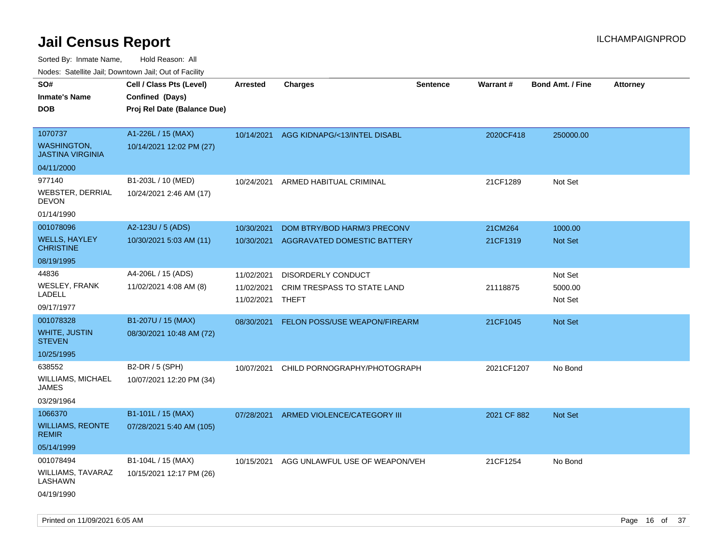| Nodes: Satellite Jali, Downtown Jali, Out of Facility |                             |                          |                                      |                 |                 |                         |                 |
|-------------------------------------------------------|-----------------------------|--------------------------|--------------------------------------|-----------------|-----------------|-------------------------|-----------------|
| SO#                                                   | Cell / Class Pts (Level)    | <b>Arrested</b>          | <b>Charges</b>                       | <b>Sentence</b> | <b>Warrant#</b> | <b>Bond Amt. / Fine</b> | <b>Attorney</b> |
| <b>Inmate's Name</b>                                  | Confined (Days)             |                          |                                      |                 |                 |                         |                 |
| <b>DOB</b>                                            | Proj Rel Date (Balance Due) |                          |                                      |                 |                 |                         |                 |
|                                                       |                             |                          |                                      |                 |                 |                         |                 |
| 1070737                                               | A1-226L / 15 (MAX)          | 10/14/2021               | AGG KIDNAPG/<13/INTEL DISABL         |                 | 2020CF418       | 250000.00               |                 |
| <b>WASHINGTON,</b><br><b>JASTINA VIRGINIA</b>         | 10/14/2021 12:02 PM (27)    |                          |                                      |                 |                 |                         |                 |
| 04/11/2000                                            |                             |                          |                                      |                 |                 |                         |                 |
| 977140                                                | B1-203L / 10 (MED)          | 10/24/2021               | ARMED HABITUAL CRIMINAL              |                 | 21CF1289        | Not Set                 |                 |
| <b>WEBSTER, DERRIAL</b><br><b>DEVON</b>               | 10/24/2021 2:46 AM (17)     |                          |                                      |                 |                 |                         |                 |
| 01/14/1990                                            |                             |                          |                                      |                 |                 |                         |                 |
| 001078096                                             | A2-123U / 5 (ADS)           | 10/30/2021               | DOM BTRY/BOD HARM/3 PRECONV          |                 | 21CM264         | 1000.00                 |                 |
| <b>WELLS, HAYLEY</b><br><b>CHRISTINE</b>              | 10/30/2021 5:03 AM (11)     | 10/30/2021               | AGGRAVATED DOMESTIC BATTERY          |                 | 21CF1319        | Not Set                 |                 |
| 08/19/1995                                            |                             |                          |                                      |                 |                 |                         |                 |
| 44836                                                 | A4-206L / 15 (ADS)          | 11/02/2021               | <b>DISORDERLY CONDUCT</b>            |                 |                 | Not Set                 |                 |
| <b>WESLEY, FRANK</b><br>LADELL                        | 11/02/2021 4:08 AM (8)      | 11/02/2021<br>11/02/2021 | CRIM TRESPASS TO STATE LAND<br>THEFT |                 | 21118875        | 5000.00<br>Not Set      |                 |
| 09/17/1977                                            |                             |                          |                                      |                 |                 |                         |                 |
| 001078328                                             | B1-207U / 15 (MAX)          | 08/30/2021               | FELON POSS/USE WEAPON/FIREARM        |                 | 21CF1045        | Not Set                 |                 |
| <b>WHITE, JUSTIN</b><br><b>STEVEN</b>                 | 08/30/2021 10:48 AM (72)    |                          |                                      |                 |                 |                         |                 |
| 10/25/1995                                            |                             |                          |                                      |                 |                 |                         |                 |
| 638552                                                | B2-DR / 5 (SPH)             | 10/07/2021               | CHILD PORNOGRAPHY/PHOTOGRAPH         |                 | 2021CF1207      | No Bond                 |                 |
| <b>WILLIAMS, MICHAEL</b><br>JAMES                     | 10/07/2021 12:20 PM (34)    |                          |                                      |                 |                 |                         |                 |
| 03/29/1964                                            |                             |                          |                                      |                 |                 |                         |                 |
| 1066370                                               | B1-101L / 15 (MAX)          | 07/28/2021               | ARMED VIOLENCE/CATEGORY III          |                 | 2021 CF 882     | <b>Not Set</b>          |                 |
| <b>WILLIAMS, REONTE</b><br><b>REMIR</b>               | 07/28/2021 5:40 AM (105)    |                          |                                      |                 |                 |                         |                 |
| 05/14/1999                                            |                             |                          |                                      |                 |                 |                         |                 |
| 001078494                                             | B1-104L / 15 (MAX)          | 10/15/2021               | AGG UNLAWFUL USE OF WEAPON/VEH       |                 | 21CF1254        | No Bond                 |                 |
| <b>WILLIAMS, TAVARAZ</b><br>LASHAWN                   | 10/15/2021 12:17 PM (26)    |                          |                                      |                 |                 |                         |                 |
| 04/19/1990                                            |                             |                          |                                      |                 |                 |                         |                 |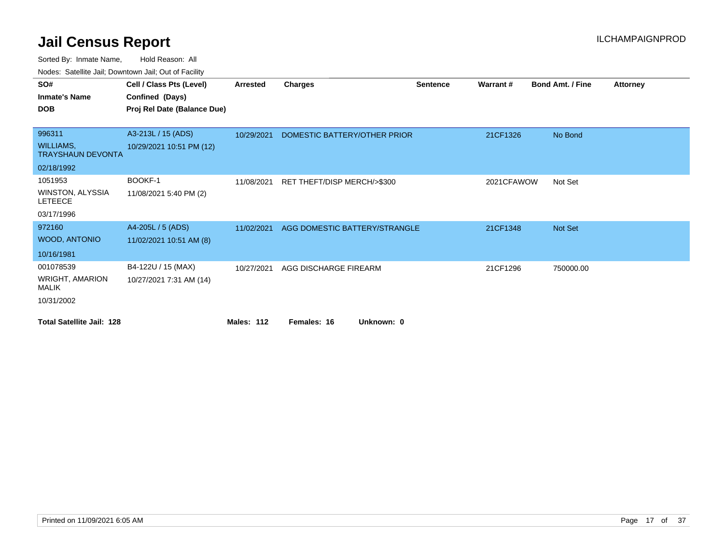| SO#                                          | Cell / Class Pts (Level)    | Arrested          | <b>Charges</b>                | <b>Sentence</b> | <b>Warrant#</b> | <b>Bond Amt. / Fine</b> | <b>Attorney</b> |
|----------------------------------------------|-----------------------------|-------------------|-------------------------------|-----------------|-----------------|-------------------------|-----------------|
| <b>Inmate's Name</b>                         | Confined (Days)             |                   |                               |                 |                 |                         |                 |
| <b>DOB</b>                                   | Proj Rel Date (Balance Due) |                   |                               |                 |                 |                         |                 |
|                                              |                             |                   |                               |                 |                 |                         |                 |
| 996311                                       | A3-213L / 15 (ADS)          | 10/29/2021        | DOMESTIC BATTERY/OTHER PRIOR  |                 | 21CF1326        | No Bond                 |                 |
| <b>WILLIAMS,</b><br><b>TRAYSHAUN DEVONTA</b> | 10/29/2021 10:51 PM (12)    |                   |                               |                 |                 |                         |                 |
| 02/18/1992                                   |                             |                   |                               |                 |                 |                         |                 |
| 1051953                                      | BOOKF-1                     | 11/08/2021        | RET THEFT/DISP MERCH/>\$300   |                 | 2021CFAWOW      | Not Set                 |                 |
| WINSTON, ALYSSIA<br><b>LETEECE</b>           | 11/08/2021 5:40 PM (2)      |                   |                               |                 |                 |                         |                 |
| 03/17/1996                                   |                             |                   |                               |                 |                 |                         |                 |
| 972160                                       | A4-205L / 5 (ADS)           | 11/02/2021        | AGG DOMESTIC BATTERY/STRANGLE |                 | 21CF1348        | Not Set                 |                 |
| <b>WOOD, ANTONIO</b>                         | 11/02/2021 10:51 AM (8)     |                   |                               |                 |                 |                         |                 |
| 10/16/1981                                   |                             |                   |                               |                 |                 |                         |                 |
| 001078539                                    | B4-122U / 15 (MAX)          | 10/27/2021        | AGG DISCHARGE FIREARM         |                 | 21CF1296        | 750000.00               |                 |
| <b>WRIGHT, AMARION</b><br>MALIK              | 10/27/2021 7:31 AM (14)     |                   |                               |                 |                 |                         |                 |
| 10/31/2002                                   |                             |                   |                               |                 |                 |                         |                 |
| <b>Total Satellite Jail: 128</b>             |                             | <b>Males: 112</b> | Females: 16<br>Unknown: 0     |                 |                 |                         |                 |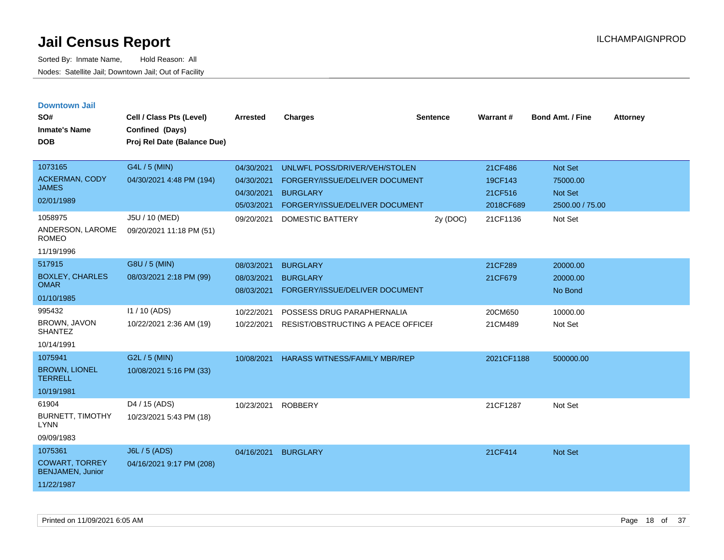|  |  | <b>Downtown Jail</b> |  |
|--|--|----------------------|--|
|  |  |                      |  |

| SO#<br><b>Inmate's Name</b><br><b>DOB</b>                                 | Cell / Class Pts (Level)<br>Confined (Days)<br>Proj Rel Date (Balance Due) | <b>Arrested</b>                                      | <b>Charges</b>                                                                                                       | <b>Sentence</b> | Warrant#                                   | <b>Bond Amt. / Fine</b>                                  | <b>Attorney</b> |
|---------------------------------------------------------------------------|----------------------------------------------------------------------------|------------------------------------------------------|----------------------------------------------------------------------------------------------------------------------|-----------------|--------------------------------------------|----------------------------------------------------------|-----------------|
| 1073165<br><b>ACKERMAN, CODY</b><br><b>JAMES</b><br>02/01/1989            | G4L / 5 (MIN)<br>04/30/2021 4:48 PM (194)                                  | 04/30/2021<br>04/30/2021<br>04/30/2021<br>05/03/2021 | UNLWFL POSS/DRIVER/VEH/STOLEN<br>FORGERY/ISSUE/DELIVER DOCUMENT<br><b>BURGLARY</b><br>FORGERY/ISSUE/DELIVER DOCUMENT |                 | 21CF486<br>19CF143<br>21CF516<br>2018CF689 | Not Set<br>75000.00<br><b>Not Set</b><br>2500.00 / 75.00 |                 |
| 1058975<br>ANDERSON, LAROME<br><b>ROMEO</b><br>11/19/1996                 | J5U / 10 (MED)<br>09/20/2021 11:18 PM (51)                                 | 09/20/2021                                           | DOMESTIC BATTERY                                                                                                     | 2y (DOC)        | 21CF1136                                   | Not Set                                                  |                 |
| 517915<br><b>BOXLEY, CHARLES</b><br><b>OMAR</b><br>01/10/1985             | G8U / 5 (MIN)<br>08/03/2021 2:18 PM (99)                                   | 08/03/2021<br>08/03/2021<br>08/03/2021               | <b>BURGLARY</b><br><b>BURGLARY</b><br>FORGERY/ISSUE/DELIVER DOCUMENT                                                 |                 | 21CF289<br>21CF679                         | 20000.00<br>20000.00<br>No Bond                          |                 |
| 995432<br>BROWN, JAVON<br><b>SHANTEZ</b><br>10/14/1991                    | I1 / 10 (ADS)<br>10/22/2021 2:36 AM (19)                                   | 10/22/2021<br>10/22/2021                             | POSSESS DRUG PARAPHERNALIA<br>RESIST/OBSTRUCTING A PEACE OFFICEI                                                     |                 | 20CM650<br>21CM489                         | 10000.00<br>Not Set                                      |                 |
| 1075941<br><b>BROWN, LIONEL</b><br><b>TERRELL</b><br>10/19/1981           | G2L / 5 (MIN)<br>10/08/2021 5:16 PM (33)                                   | 10/08/2021                                           | <b>HARASS WITNESS/FAMILY MBR/REP</b>                                                                                 |                 | 2021CF1188                                 | 500000.00                                                |                 |
| 61904<br><b>BURNETT, TIMOTHY</b><br><b>LYNN</b><br>09/09/1983             | D <sub>4</sub> / 15 (ADS)<br>10/23/2021 5:43 PM (18)                       | 10/23/2021                                           | <b>ROBBERY</b>                                                                                                       |                 | 21CF1287                                   | Not Set                                                  |                 |
| 1075361<br><b>COWART, TORREY</b><br><b>BENJAMEN, Junior</b><br>11/22/1987 | J6L / 5 (ADS)<br>04/16/2021 9:17 PM (208)                                  | 04/16/2021                                           | <b>BURGLARY</b>                                                                                                      |                 | 21CF414                                    | Not Set                                                  |                 |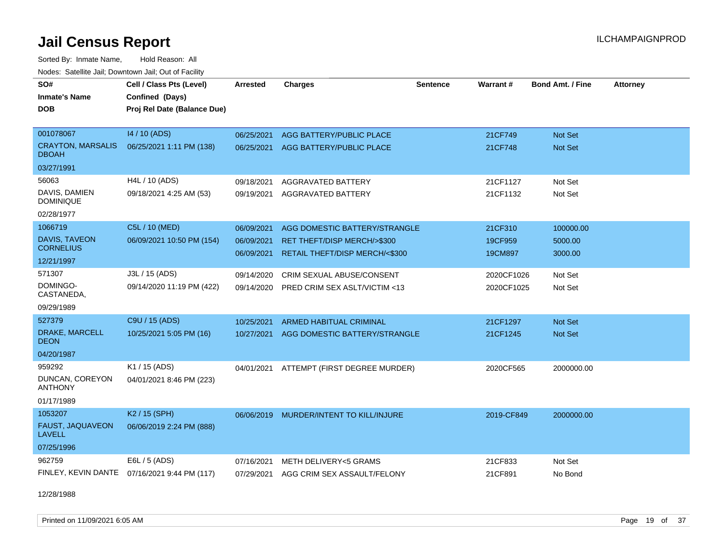Sorted By: Inmate Name, Hold Reason: All

| Nodes: Satellite Jail; Downtown Jail; Out of Facility |                                              |                 |                                |                 |            |                         |                 |
|-------------------------------------------------------|----------------------------------------------|-----------------|--------------------------------|-----------------|------------|-------------------------|-----------------|
| SO#                                                   | Cell / Class Pts (Level)                     | <b>Arrested</b> | <b>Charges</b>                 | <b>Sentence</b> | Warrant#   | <b>Bond Amt. / Fine</b> | <b>Attorney</b> |
| <b>Inmate's Name</b>                                  | Confined (Days)                              |                 |                                |                 |            |                         |                 |
| <b>DOB</b>                                            | Proj Rel Date (Balance Due)                  |                 |                                |                 |            |                         |                 |
|                                                       |                                              |                 |                                |                 |            |                         |                 |
| 001078067                                             | 14 / 10 (ADS)                                | 06/25/2021      | AGG BATTERY/PUBLIC PLACE       |                 | 21CF749    | Not Set                 |                 |
| <b>CRAYTON, MARSALIS</b><br><b>DBOAH</b>              | 06/25/2021 1:11 PM (138)                     | 06/25/2021      | AGG BATTERY/PUBLIC PLACE       |                 | 21CF748    | Not Set                 |                 |
| 03/27/1991                                            |                                              |                 |                                |                 |            |                         |                 |
| 56063                                                 | H4L / 10 (ADS)                               | 09/18/2021      | AGGRAVATED BATTERY             |                 | 21CF1127   | Not Set                 |                 |
| DAVIS, DAMIEN<br><b>DOMINIQUE</b>                     | 09/18/2021 4:25 AM (53)                      | 09/19/2021      | AGGRAVATED BATTERY             |                 | 21CF1132   | Not Set                 |                 |
| 02/28/1977                                            |                                              |                 |                                |                 |            |                         |                 |
| 1066719                                               | C5L / 10 (MED)                               | 06/09/2021      | AGG DOMESTIC BATTERY/STRANGLE  |                 | 21CF310    | 100000.00               |                 |
| <b>DAVIS, TAVEON</b>                                  | 06/09/2021 10:50 PM (154)                    | 06/09/2021      | RET THEFT/DISP MERCH/>\$300    |                 | 19CF959    | 5000.00                 |                 |
| <b>CORNELIUS</b>                                      |                                              | 06/09/2021      | RETAIL THEFT/DISP MERCH/<\$300 |                 | 19CM897    | 3000.00                 |                 |
| 12/21/1997                                            |                                              |                 |                                |                 |            |                         |                 |
| 571307                                                | J3L / 15 (ADS)                               | 09/14/2020      | CRIM SEXUAL ABUSE/CONSENT      |                 | 2020CF1026 | Not Set                 |                 |
| DOMINGO-<br>CASTANEDA,                                | 09/14/2020 11:19 PM (422)                    | 09/14/2020      | PRED CRIM SEX ASLT/VICTIM <13  |                 | 2020CF1025 | Not Set                 |                 |
| 09/29/1989                                            |                                              |                 |                                |                 |            |                         |                 |
| 527379                                                | C9U / 15 (ADS)                               | 10/25/2021      | <b>ARMED HABITUAL CRIMINAL</b> |                 | 21CF1297   | <b>Not Set</b>          |                 |
| <b>DRAKE, MARCELL</b><br><b>DEON</b>                  | 10/25/2021 5:05 PM (16)                      | 10/27/2021      | AGG DOMESTIC BATTERY/STRANGLE  |                 | 21CF1245   | <b>Not Set</b>          |                 |
| 04/20/1987                                            |                                              |                 |                                |                 |            |                         |                 |
| 959292                                                | K1 / 15 (ADS)                                | 04/01/2021      | ATTEMPT (FIRST DEGREE MURDER)  |                 | 2020CF565  | 2000000.00              |                 |
| DUNCAN, COREYON<br><b>ANTHONY</b>                     | 04/01/2021 8:46 PM (223)                     |                 |                                |                 |            |                         |                 |
| 01/17/1989                                            |                                              |                 |                                |                 |            |                         |                 |
| 1053207                                               | K <sub>2</sub> / 15 (SPH)                    | 06/06/2019      | MURDER/INTENT TO KILL/INJURE   |                 | 2019-CF849 | 2000000.00              |                 |
| FAUST, JAQUAVEON<br><b>LAVELL</b>                     | 06/06/2019 2:24 PM (888)                     |                 |                                |                 |            |                         |                 |
| 07/25/1996                                            |                                              |                 |                                |                 |            |                         |                 |
| 962759                                                | E6L / 5 (ADS)                                | 07/16/2021      | METH DELIVERY<5 GRAMS          |                 | 21CF833    | Not Set                 |                 |
|                                                       | FINLEY, KEVIN DANTE 07/16/2021 9:44 PM (117) | 07/29/2021      | AGG CRIM SEX ASSAULT/FELONY    |                 | 21CF891    | No Bond                 |                 |

12/28/1988

Printed on 11/09/2021 6:05 AM **Page 19 of 37**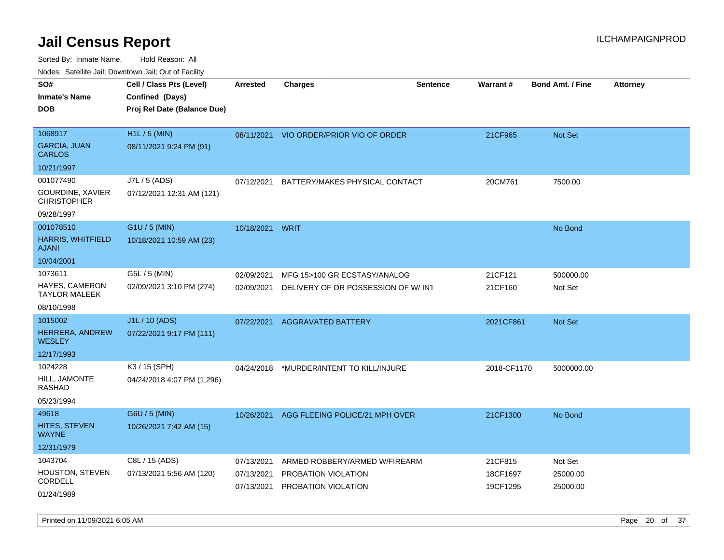Sorted By: Inmate Name, Hold Reason: All

|                                               | Nodes: Satellite Jail; Downtown Jail; Out of Facility |                 |                                           |                 |                 |                         |                 |
|-----------------------------------------------|-------------------------------------------------------|-----------------|-------------------------------------------|-----------------|-----------------|-------------------------|-----------------|
| SO#                                           | Cell / Class Pts (Level)                              | <b>Arrested</b> | <b>Charges</b>                            | <b>Sentence</b> | <b>Warrant#</b> | <b>Bond Amt. / Fine</b> | <b>Attorney</b> |
| <b>Inmate's Name</b>                          | Confined (Days)                                       |                 |                                           |                 |                 |                         |                 |
| <b>DOB</b>                                    | Proj Rel Date (Balance Due)                           |                 |                                           |                 |                 |                         |                 |
|                                               |                                                       |                 |                                           |                 |                 |                         |                 |
| 1068917                                       | H1L / 5 (MIN)                                         | 08/11/2021      | VIO ORDER/PRIOR VIO OF ORDER              |                 | 21CF965         | Not Set                 |                 |
| <b>GARCIA, JUAN</b><br><b>CARLOS</b>          | 08/11/2021 9:24 PM (91)                               |                 |                                           |                 |                 |                         |                 |
| 10/21/1997                                    |                                                       |                 |                                           |                 |                 |                         |                 |
| 001077490                                     | J7L / 5 (ADS)                                         | 07/12/2021      | BATTERY/MAKES PHYSICAL CONTACT            |                 | 20CM761         | 7500.00                 |                 |
| <b>GOURDINE, XAVIER</b><br><b>CHRISTOPHER</b> | 07/12/2021 12:31 AM (121)                             |                 |                                           |                 |                 |                         |                 |
| 09/28/1997                                    |                                                       |                 |                                           |                 |                 |                         |                 |
| 001078510                                     | G1U / 5 (MIN)                                         | 10/18/2021      | WRIT                                      |                 |                 | No Bond                 |                 |
| <b>HARRIS, WHITFIELD</b><br><b>AJANI</b>      | 10/18/2021 10:59 AM (23)                              |                 |                                           |                 |                 |                         |                 |
| 10/04/2001                                    |                                                       |                 |                                           |                 |                 |                         |                 |
| 1073611                                       | G5L / 5 (MIN)                                         | 02/09/2021      | MFG 15>100 GR ECSTASY/ANALOG              |                 | 21CF121         | 500000.00               |                 |
| HAYES, CAMERON<br><b>TAYLOR MALEEK</b>        | 02/09/2021 3:10 PM (274)                              | 02/09/2021      | DELIVERY OF OR POSSESSION OF W/INT        |                 | 21CF160         | Not Set                 |                 |
| 08/10/1998                                    |                                                       |                 |                                           |                 |                 |                         |                 |
| 1015002                                       | J1L / 10 (ADS)                                        | 07/22/2021      | <b>AGGRAVATED BATTERY</b>                 |                 | 2021CF861       | Not Set                 |                 |
| HERRERA, ANDREW<br><b>WESLEY</b>              | 07/22/2021 9:17 PM (111)                              |                 |                                           |                 |                 |                         |                 |
| 12/17/1993                                    |                                                       |                 |                                           |                 |                 |                         |                 |
| 1024228                                       | K3 / 15 (SPH)                                         | 04/24/2018      | *MURDER/INTENT TO KILL/INJURE             |                 | 2018-CF1170     | 5000000.00              |                 |
| HILL, JAMONTE<br>RASHAD                       | 04/24/2018 4:07 PM (1,296)                            |                 |                                           |                 |                 |                         |                 |
| 05/23/1994                                    |                                                       |                 |                                           |                 |                 |                         |                 |
| 49618                                         | G6U / 5 (MIN)                                         |                 | 10/26/2021 AGG FLEEING POLICE/21 MPH OVER |                 | 21CF1300        | No Bond                 |                 |
| <b>HITES, STEVEN</b><br><b>WAYNE</b>          | 10/26/2021 7:42 AM (15)                               |                 |                                           |                 |                 |                         |                 |
| 12/31/1979                                    |                                                       |                 |                                           |                 |                 |                         |                 |
| 1043704                                       | C8L / 15 (ADS)                                        | 07/13/2021      | ARMED ROBBERY/ARMED W/FIREARM             |                 | 21CF815         | Not Set                 |                 |
| HOUSTON, STEVEN                               | 07/13/2021 5:56 AM (120)                              | 07/13/2021      | PROBATION VIOLATION                       |                 | 18CF1697        | 25000.00                |                 |
| CORDELL                                       |                                                       | 07/13/2021      | PROBATION VIOLATION                       |                 | 19CF1295        | 25000.00                |                 |
| 01/24/1989                                    |                                                       |                 |                                           |                 |                 |                         |                 |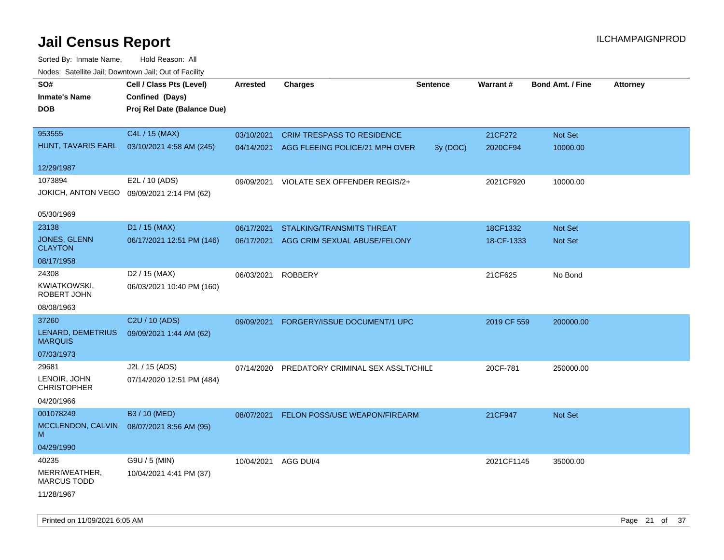Sorted By: Inmate Name, Hold Reason: All Nodes: Satellite Jail; Downtown Jail; Out of Facility

| Todoo. Catolino can, Bowritown can, Oat or I domt<br>SO#<br><b>Inmate's Name</b><br><b>DOB</b> | Cell / Class Pts (Level)<br>Confined (Days)<br>Proj Rel Date (Balance Due) | <b>Arrested</b> | <b>Charges</b>                       | <b>Sentence</b> | Warrant#    | <b>Bond Amt. / Fine</b> | <b>Attorney</b> |
|------------------------------------------------------------------------------------------------|----------------------------------------------------------------------------|-----------------|--------------------------------------|-----------------|-------------|-------------------------|-----------------|
| 953555                                                                                         | C4L / 15 (MAX)                                                             | 03/10/2021      | <b>CRIM TRESPASS TO RESIDENCE</b>    |                 | 21CF272     | Not Set                 |                 |
| HUNT, TAVARIS EARL                                                                             | 03/10/2021 4:58 AM (245)                                                   | 04/14/2021      | AGG FLEEING POLICE/21 MPH OVER       | 3y (DOC)        | 2020CF94    | 10000.00                |                 |
| 12/29/1987                                                                                     |                                                                            |                 |                                      |                 |             |                         |                 |
| 1073894                                                                                        | E2L / 10 (ADS)                                                             | 09/09/2021      | VIOLATE SEX OFFENDER REGIS/2+        |                 | 2021CF920   | 10000.00                |                 |
| JOKICH, ANTON VEGO                                                                             | 09/09/2021 2:14 PM (62)                                                    |                 |                                      |                 |             |                         |                 |
| 05/30/1969                                                                                     |                                                                            |                 |                                      |                 |             |                         |                 |
| 23138                                                                                          | D1 / 15 (MAX)                                                              | 06/17/2021      | <b>STALKING/TRANSMITS THREAT</b>     |                 | 18CF1332    | <b>Not Set</b>          |                 |
| JONES, GLENN<br><b>CLAYTON</b>                                                                 | 06/17/2021 12:51 PM (146)                                                  | 06/17/2021      | AGG CRIM SEXUAL ABUSE/FELONY         |                 | 18-CF-1333  | Not Set                 |                 |
| 08/17/1958                                                                                     |                                                                            |                 |                                      |                 |             |                         |                 |
| 24308                                                                                          | D <sub>2</sub> / 15 (MAX)                                                  | 06/03/2021      | <b>ROBBERY</b>                       |                 | 21CF625     | No Bond                 |                 |
| KWIATKOWSKI,<br>ROBERT JOHN                                                                    | 06/03/2021 10:40 PM (160)                                                  |                 |                                      |                 |             |                         |                 |
| 08/08/1963                                                                                     |                                                                            |                 |                                      |                 |             |                         |                 |
| 37260                                                                                          | C2U / 10 (ADS)                                                             | 09/09/2021      | FORGERY/ISSUE DOCUMENT/1 UPC         |                 | 2019 CF 559 | 200000.00               |                 |
| LENARD, DEMETRIUS<br><b>MARQUIS</b>                                                            | 09/09/2021 1:44 AM (62)                                                    |                 |                                      |                 |             |                         |                 |
| 07/03/1973                                                                                     |                                                                            |                 |                                      |                 |             |                         |                 |
| 29681                                                                                          | J2L / 15 (ADS)                                                             | 07/14/2020      | PREDATORY CRIMINAL SEX ASSLT/CHILD   |                 | 20CF-781    | 250000.00               |                 |
| LENOIR, JOHN<br><b>CHRISTOPHER</b>                                                             | 07/14/2020 12:51 PM (484)                                                  |                 |                                      |                 |             |                         |                 |
| 04/20/1966                                                                                     |                                                                            |                 |                                      |                 |             |                         |                 |
| 001078249                                                                                      | B3 / 10 (MED)                                                              | 08/07/2021      | <b>FELON POSS/USE WEAPON/FIREARM</b> |                 | 21CF947     | Not Set                 |                 |
| MCCLENDON, CALVIN<br>м                                                                         | 08/07/2021 8:56 AM (95)                                                    |                 |                                      |                 |             |                         |                 |
| 04/29/1990                                                                                     |                                                                            |                 |                                      |                 |             |                         |                 |
| 40235                                                                                          | G9U / 5 (MIN)                                                              | 10/04/2021      | AGG DUI/4                            |                 | 2021CF1145  | 35000.00                |                 |
| MERRIWEATHER,<br><b>MARCUS TODD</b>                                                            | 10/04/2021 4:41 PM (37)                                                    |                 |                                      |                 |             |                         |                 |
| 11/28/1967                                                                                     |                                                                            |                 |                                      |                 |             |                         |                 |

Printed on 11/09/2021 6:05 AM **Page 21 of 37** Page 21 of 37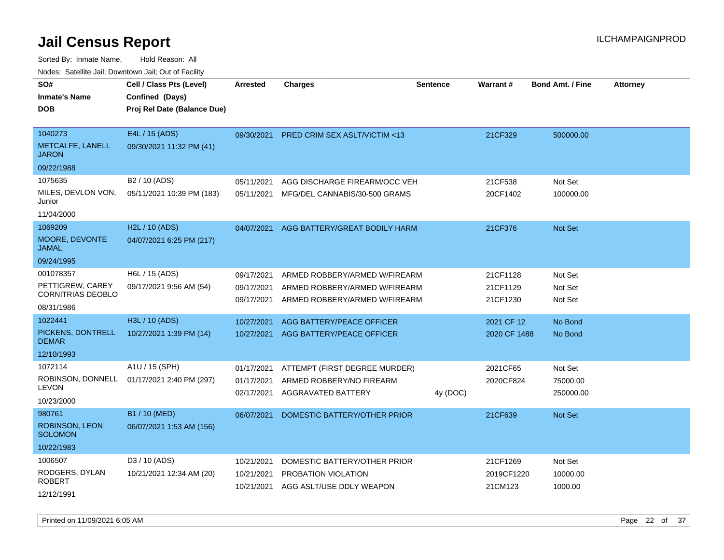Sorted By: Inmate Name, Hold Reason: All

|  | Nodes: Satellite Jail; Downtown Jail; Out of Facility |
|--|-------------------------------------------------------|
|  |                                                       |

| SO#<br><b>Inmate's Name</b><br><b>DOB</b>                               | Cell / Class Pts (Level)<br>Confined (Days)<br>Proj Rel Date (Balance Due) | <b>Arrested</b>                        | <b>Charges</b>                                                                                  | <b>Sentence</b> | <b>Warrant#</b>                   | <b>Bond Amt. / Fine</b>          | <b>Attorney</b> |
|-------------------------------------------------------------------------|----------------------------------------------------------------------------|----------------------------------------|-------------------------------------------------------------------------------------------------|-----------------|-----------------------------------|----------------------------------|-----------------|
| 1040273<br>METCALFE, LANELL<br><b>JARON</b><br>09/22/1988               | E4L / 15 (ADS)<br>09/30/2021 11:32 PM (41)                                 | 09/30/2021                             | PRED CRIM SEX ASLT/VICTIM <13                                                                   |                 | 21CF329                           | 500000.00                        |                 |
| 1075635<br>MILES, DEVLON VON,<br>Junior<br>11/04/2000                   | B2 / 10 (ADS)<br>05/11/2021 10:39 PM (183)                                 | 05/11/2021<br>05/11/2021               | AGG DISCHARGE FIREARM/OCC VEH<br>MFG/DEL CANNABIS/30-500 GRAMS                                  |                 | 21CF538<br>20CF1402               | Not Set<br>100000.00             |                 |
| 1069209<br>MOORE, DEVONTE<br><b>JAMAL</b><br>09/24/1995                 | H2L / 10 (ADS)<br>04/07/2021 6:25 PM (217)                                 | 04/07/2021                             | AGG BATTERY/GREAT BODILY HARM                                                                   |                 | 21CF376                           | Not Set                          |                 |
| 001078357<br>PETTIGREW, CAREY<br><b>CORNITRIAS DEOBLO</b><br>08/31/1986 | H6L / 15 (ADS)<br>09/17/2021 9:56 AM (54)                                  | 09/17/2021<br>09/17/2021<br>09/17/2021 | ARMED ROBBERY/ARMED W/FIREARM<br>ARMED ROBBERY/ARMED W/FIREARM<br>ARMED ROBBERY/ARMED W/FIREARM |                 | 21CF1128<br>21CF1129<br>21CF1230  | Not Set<br>Not Set<br>Not Set    |                 |
| 1022441<br>PICKENS, DONTRELL<br><b>DEMAR</b><br>12/10/1993              | H3L / 10 (ADS)<br>10/27/2021 1:39 PM (14)                                  | 10/27/2021                             | AGG BATTERY/PEACE OFFICER<br>10/27/2021 AGG BATTERY/PEACE OFFICER                               |                 | 2021 CF 12<br>2020 CF 1488        | No Bond<br>No Bond               |                 |
| 1072114<br>ROBINSON, DONNELL<br><b>LEVON</b><br>10/23/2000              | A1U / 15 (SPH)<br>01/17/2021 2:40 PM (297)                                 | 01/17/2021<br>01/17/2021<br>02/17/2021 | ATTEMPT (FIRST DEGREE MURDER)<br>ARMED ROBBERY/NO FIREARM<br>AGGRAVATED BATTERY                 | 4y (DOC)        | 2021CF65<br>2020CF824             | Not Set<br>75000.00<br>250000.00 |                 |
| 980761<br><b>ROBINSON, LEON</b><br><b>SOLOMON</b><br>10/22/1983         | B1 / 10 (MED)<br>06/07/2021 1:53 AM (156)                                  | 06/07/2021                             | DOMESTIC BATTERY/OTHER PRIOR                                                                    |                 | 21CF639                           | Not Set                          |                 |
| 1006507<br>RODGERS, DYLAN<br><b>ROBERT</b><br>12/12/1991                | D3 / 10 (ADS)<br>10/21/2021 12:34 AM (20)                                  | 10/21/2021<br>10/21/2021               | DOMESTIC BATTERY/OTHER PRIOR<br>PROBATION VIOLATION<br>10/21/2021 AGG ASLT/USE DDLY WEAPON      |                 | 21CF1269<br>2019CF1220<br>21CM123 | Not Set<br>10000.00<br>1000.00   |                 |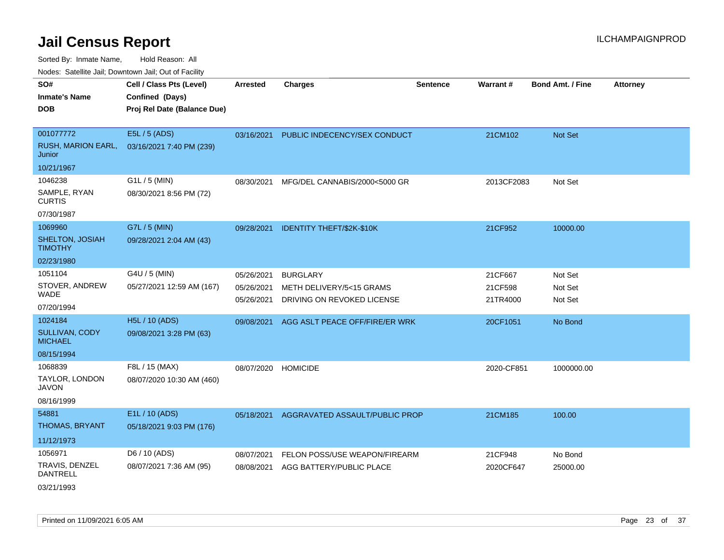Sorted By: Inmate Name, Hold Reason: All

Nodes: Satellite Jail; Downtown Jail; Out of Facility

| roaco. Catolino dall, Downtown dall, Out of Fability |                             |                 |                                  |                 |            |                         |                 |
|------------------------------------------------------|-----------------------------|-----------------|----------------------------------|-----------------|------------|-------------------------|-----------------|
| SO#                                                  | Cell / Class Pts (Level)    | <b>Arrested</b> | Charges                          | <b>Sentence</b> | Warrant#   | <b>Bond Amt. / Fine</b> | <b>Attorney</b> |
| <b>Inmate's Name</b>                                 | Confined (Days)             |                 |                                  |                 |            |                         |                 |
| <b>DOB</b>                                           | Proj Rel Date (Balance Due) |                 |                                  |                 |            |                         |                 |
|                                                      |                             |                 |                                  |                 |            |                         |                 |
| 001077772                                            | E5L / 5 (ADS)               | 03/16/2021      | PUBLIC INDECENCY/SEX CONDUCT     |                 | 21CM102    | Not Set                 |                 |
| <b>RUSH, MARION EARL,</b><br>Junior                  | 03/16/2021 7:40 PM (239)    |                 |                                  |                 |            |                         |                 |
| 10/21/1967                                           |                             |                 |                                  |                 |            |                         |                 |
| 1046238                                              | G1L / 5 (MIN)               | 08/30/2021      | MFG/DEL CANNABIS/2000<5000 GR    |                 | 2013CF2083 | Not Set                 |                 |
| SAMPLE, RYAN<br><b>CURTIS</b>                        | 08/30/2021 8:56 PM (72)     |                 |                                  |                 |            |                         |                 |
| 07/30/1987                                           |                             |                 |                                  |                 |            |                         |                 |
| 1069960                                              | G7L / 5 (MIN)               | 09/28/2021      | <b>IDENTITY THEFT/\$2K-\$10K</b> |                 | 21CF952    | 10000.00                |                 |
| SHELTON, JOSIAH<br><b>TIMOTHY</b>                    | 09/28/2021 2:04 AM (43)     |                 |                                  |                 |            |                         |                 |
| 02/23/1980                                           |                             |                 |                                  |                 |            |                         |                 |
| 1051104                                              | G4U / 5 (MIN)               | 05/26/2021      | <b>BURGLARY</b>                  |                 | 21CF667    | Not Set                 |                 |
| STOVER, ANDREW                                       | 05/27/2021 12:59 AM (167)   | 05/26/2021      | METH DELIVERY/5<15 GRAMS         |                 | 21CF598    | Not Set                 |                 |
| WADE                                                 |                             | 05/26/2021      | DRIVING ON REVOKED LICENSE       |                 | 21TR4000   | Not Set                 |                 |
| 07/20/1994                                           |                             |                 |                                  |                 |            |                         |                 |
| 1024184                                              | <b>H5L / 10 (ADS)</b>       | 09/08/2021      | AGG ASLT PEACE OFF/FIRE/ER WRK   |                 | 20CF1051   | No Bond                 |                 |
| SULLIVAN, CODY<br><b>MICHAEL</b>                     | 09/08/2021 3:28 PM (63)     |                 |                                  |                 |            |                         |                 |
| 08/15/1994                                           |                             |                 |                                  |                 |            |                         |                 |
| 1068839                                              | F8L / 15 (MAX)              | 08/07/2020      | <b>HOMICIDE</b>                  |                 | 2020-CF851 | 1000000.00              |                 |
| TAYLOR, LONDON<br><b>JAVON</b>                       | 08/07/2020 10:30 AM (460)   |                 |                                  |                 |            |                         |                 |
| 08/16/1999                                           |                             |                 |                                  |                 |            |                         |                 |
| 54881                                                | E1L / 10 (ADS)              | 05/18/2021      | AGGRAVATED ASSAULT/PUBLIC PROP   |                 | 21CM185    | 100.00                  |                 |
| THOMAS, BRYANT                                       | 05/18/2021 9:03 PM (176)    |                 |                                  |                 |            |                         |                 |
| 11/12/1973                                           |                             |                 |                                  |                 |            |                         |                 |
| 1056971                                              | D6 / 10 (ADS)               | 08/07/2021      | FELON POSS/USE WEAPON/FIREARM    |                 | 21CF948    | No Bond                 |                 |
| TRAVIS, DENZEL<br><b>DANTRELL</b>                    | 08/07/2021 7:36 AM (95)     | 08/08/2021      | AGG BATTERY/PUBLIC PLACE         |                 | 2020CF647  | 25000.00                |                 |
| 03/21/1993                                           |                             |                 |                                  |                 |            |                         |                 |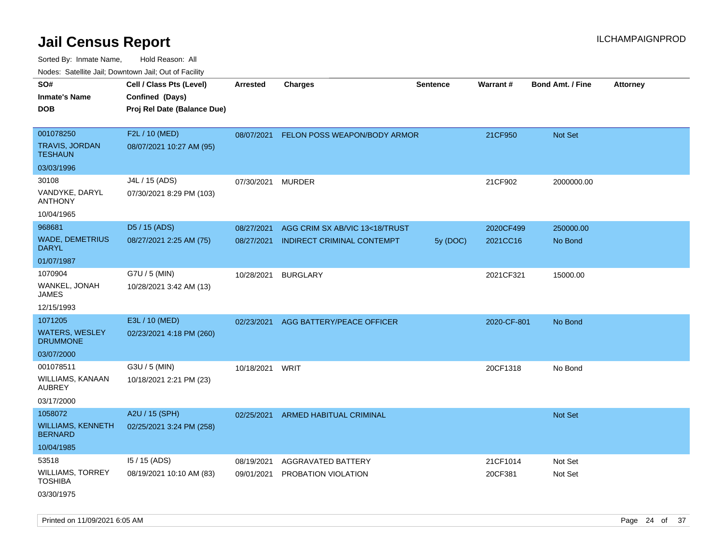| rouco. Calcinic Jan, Downtown Jan, Out of Facility |                                                                            |                          |                                                              |                 |                       |                         |                 |
|----------------------------------------------------|----------------------------------------------------------------------------|--------------------------|--------------------------------------------------------------|-----------------|-----------------------|-------------------------|-----------------|
| SO#<br><b>Inmate's Name</b><br>DOB                 | Cell / Class Pts (Level)<br>Confined (Days)<br>Proj Rel Date (Balance Due) | <b>Arrested</b>          | <b>Charges</b>                                               | <b>Sentence</b> | Warrant#              | <b>Bond Amt. / Fine</b> | <b>Attorney</b> |
| 001078250<br>TRAVIS, JORDAN<br><b>TESHAUN</b>      | F2L / 10 (MED)<br>08/07/2021 10:27 AM (95)                                 |                          | 08/07/2021 FELON POSS WEAPON/BODY ARMOR                      |                 | 21CF950               | Not Set                 |                 |
| 03/03/1996                                         |                                                                            |                          |                                                              |                 |                       |                         |                 |
| 30108<br>VANDYKE, DARYL<br><b>ANTHONY</b>          | J4L / 15 (ADS)<br>07/30/2021 8:29 PM (103)                                 | 07/30/2021               | MURDER                                                       |                 | 21CF902               | 2000000.00              |                 |
| 10/04/1965                                         |                                                                            |                          |                                                              |                 |                       |                         |                 |
| 968681<br>WADE, DEMETRIUS<br>DARYL                 | D5 / 15 (ADS)<br>08/27/2021 2:25 AM (75)                                   | 08/27/2021<br>08/27/2021 | AGG CRIM SX AB/VIC 13<18/TRUST<br>INDIRECT CRIMINAL CONTEMPT | 5y(DOC)         | 2020CF499<br>2021CC16 | 250000.00<br>No Bond    |                 |
| 01/07/1987                                         |                                                                            |                          |                                                              |                 |                       |                         |                 |
| 1070904<br>WANKEL, JONAH<br>JAMES                  | G7U / 5 (MIN)<br>10/28/2021 3:42 AM (13)                                   | 10/28/2021               | <b>BURGLARY</b>                                              |                 | 2021CF321             | 15000.00                |                 |
| 12/15/1993                                         |                                                                            |                          |                                                              |                 |                       |                         |                 |
| 1071205                                            | E3L / 10 (MED)                                                             | 02/23/2021               | AGG BATTERY/PEACE OFFICER                                    |                 | 2020-CF-801           | No Bond                 |                 |
| WATERS, WESLEY<br><b>DRUMMONE</b>                  | 02/23/2021 4:18 PM (260)                                                   |                          |                                                              |                 |                       |                         |                 |
| 03/07/2000                                         |                                                                            |                          |                                                              |                 |                       |                         |                 |
| 001078511                                          | G3U / 5 (MIN)                                                              | 10/18/2021 WRIT          |                                                              |                 | 20CF1318              | No Bond                 |                 |
| WILLIAMS, KANAAN<br>AUBREY                         | 10/18/2021 2:21 PM (23)                                                    |                          |                                                              |                 |                       |                         |                 |
| 03/17/2000                                         |                                                                            |                          |                                                              |                 |                       |                         |                 |
| 1058072                                            | A2U / 15 (SPH)                                                             | 02/25/2021               | <b>ARMED HABITUAL CRIMINAL</b>                               |                 |                       | <b>Not Set</b>          |                 |
| <b>WILLIAMS, KENNETH</b><br>BERNARD                | 02/25/2021 3:24 PM (258)                                                   |                          |                                                              |                 |                       |                         |                 |
| 10/04/1985                                         |                                                                            |                          |                                                              |                 |                       |                         |                 |
| 53518                                              | 15 / 15 (ADS)                                                              | 08/19/2021               | AGGRAVATED BATTERY                                           |                 | 21CF1014              | Not Set                 |                 |
| WILLIAMS, TORREY<br><b>TOSHIBA</b>                 | 08/19/2021 10:10 AM (83)                                                   | 09/01/2021               | PROBATION VIOLATION                                          |                 | 20CF381               | Not Set                 |                 |
| 03/30/1975                                         |                                                                            |                          |                                                              |                 |                       |                         |                 |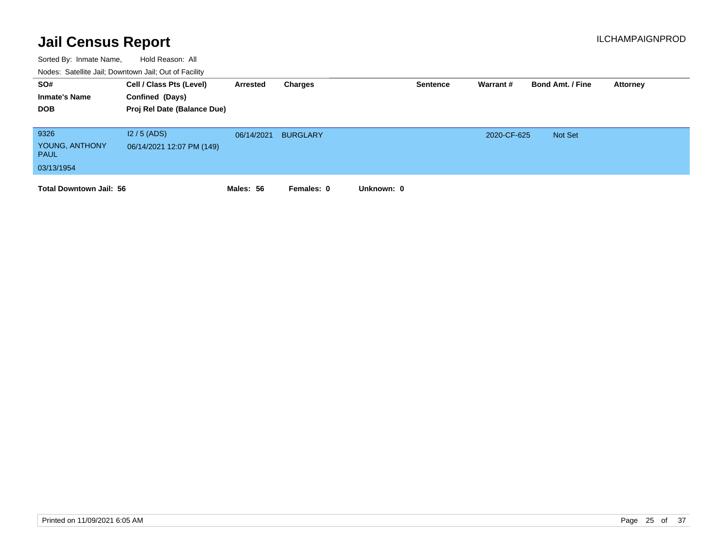| SO#<br><b>Inmate's Name</b><br><b>DOB</b>           | Cell / Class Pts (Level)<br>Confined (Days)<br>Proj Rel Date (Balance Due) | Arrested   | Charges         | <b>Sentence</b> | Warrant #   | <b>Bond Amt. / Fine</b> | Attorney |
|-----------------------------------------------------|----------------------------------------------------------------------------|------------|-----------------|-----------------|-------------|-------------------------|----------|
| 9326<br>YOUNG, ANTHONY<br><b>PAUL</b><br>03/13/1954 | $12/5$ (ADS)<br>06/14/2021 12:07 PM (149)                                  | 06/14/2021 | <b>BURGLARY</b> |                 | 2020-CF-625 | Not Set                 |          |
| <b>Total Downtown Jail: 56</b>                      |                                                                            | Males: 56  | Females: 0      | Unknown: 0      |             |                         |          |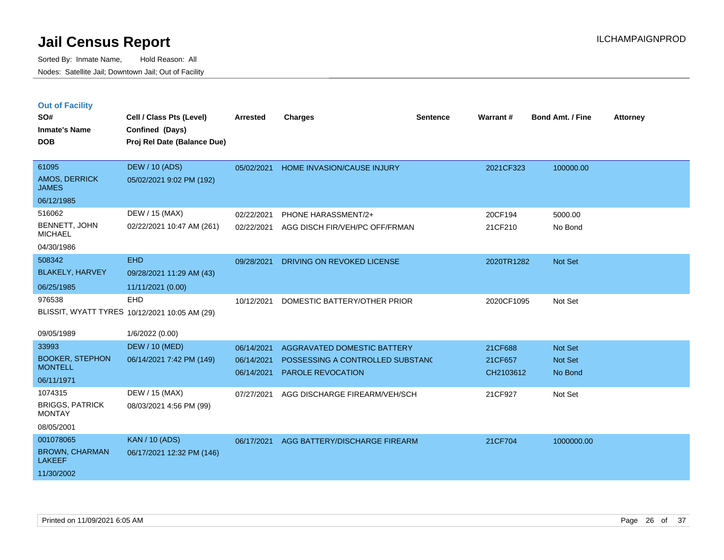|  | <b>Out of Facility</b> |  |
|--|------------------------|--|

| SO#<br><b>Inmate's Name</b><br><b>DOB</b>                         | Cell / Class Pts (Level)<br>Confined (Days)<br>Proj Rel Date (Balance Due)     | <b>Arrested</b>                        | <b>Charges</b>                                                                              | <b>Sentence</b> | Warrant#                        | <b>Bond Amt. / Fine</b>              | <b>Attorney</b> |
|-------------------------------------------------------------------|--------------------------------------------------------------------------------|----------------------------------------|---------------------------------------------------------------------------------------------|-----------------|---------------------------------|--------------------------------------|-----------------|
| 61095<br>AMOS, DERRICK<br><b>JAMES</b><br>06/12/1985              | <b>DEW / 10 (ADS)</b><br>05/02/2021 9:02 PM (192)                              |                                        | 05/02/2021 HOME INVASION/CAUSE INJURY                                                       |                 | 2021CF323                       | 100000.00                            |                 |
| 516062<br>BENNETT, JOHN<br><b>MICHAEL</b><br>04/30/1986           | DEW / 15 (MAX)<br>02/22/2021 10:47 AM (261)                                    | 02/22/2021<br>02/22/2021               | PHONE HARASSMENT/2+<br>AGG DISCH FIR/VEH/PC OFF/FRMAN                                       |                 | 20CF194<br>21CF210              | 5000.00<br>No Bond                   |                 |
| 508342<br><b>BLAKELY, HARVEY</b><br>06/25/1985                    | <b>EHD</b><br>09/28/2021 11:29 AM (43)<br>11/11/2021 (0.00)                    | 09/28/2021                             | DRIVING ON REVOKED LICENSE                                                                  |                 | 2020TR1282                      | <b>Not Set</b>                       |                 |
| 976538<br>09/05/1989                                              | <b>EHD</b><br>BLISSIT, WYATT TYRES 10/12/2021 10:05 AM (29)<br>1/6/2022 (0.00) | 10/12/2021                             | DOMESTIC BATTERY/OTHER PRIOR                                                                |                 | 2020CF1095                      | Not Set                              |                 |
| 33993<br><b>BOOKER, STEPHON</b><br><b>MONTELL</b><br>06/11/1971   | <b>DEW / 10 (MED)</b><br>06/14/2021 7:42 PM (149)                              | 06/14/2021<br>06/14/2021<br>06/14/2021 | AGGRAVATED DOMESTIC BATTERY<br>POSSESSING A CONTROLLED SUBSTANC<br><b>PAROLE REVOCATION</b> |                 | 21CF688<br>21CF657<br>CH2103612 | Not Set<br><b>Not Set</b><br>No Bond |                 |
| 1074315<br><b>BRIGGS, PATRICK</b><br><b>MONTAY</b><br>08/05/2001  | DEW / 15 (MAX)<br>08/03/2021 4:56 PM (99)                                      | 07/27/2021                             | AGG DISCHARGE FIREARM/VEH/SCH                                                               |                 | 21CF927                         | Not Set                              |                 |
| 001078065<br><b>BROWN, CHARMAN</b><br><b>LAKEEF</b><br>11/30/2002 | <b>KAN / 10 (ADS)</b><br>06/17/2021 12:32 PM (146)                             | 06/17/2021                             | AGG BATTERY/DISCHARGE FIREARM                                                               |                 | 21CF704                         | 1000000.00                           |                 |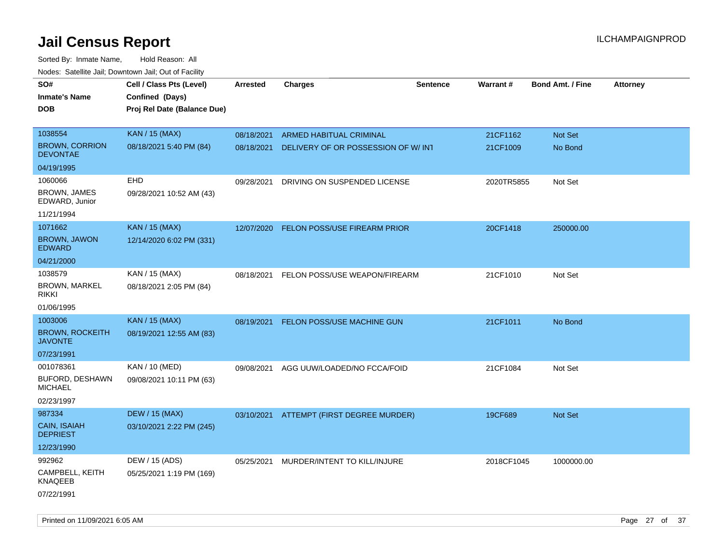| rougs. Calcing Jan, Downtown Jan, Out of Facility   |                                                                            |                          |                                                                |                 |                      |                         |                 |
|-----------------------------------------------------|----------------------------------------------------------------------------|--------------------------|----------------------------------------------------------------|-----------------|----------------------|-------------------------|-----------------|
| SO#<br><b>Inmate's Name</b><br><b>DOB</b>           | Cell / Class Pts (Level)<br>Confined (Days)<br>Proj Rel Date (Balance Due) | <b>Arrested</b>          | <b>Charges</b>                                                 | <b>Sentence</b> | Warrant#             | <b>Bond Amt. / Fine</b> | <b>Attorney</b> |
| 1038554<br><b>BROWN, CORRION</b><br><b>DEVONTAE</b> | <b>KAN / 15 (MAX)</b><br>08/18/2021 5:40 PM (84)                           | 08/18/2021<br>08/18/2021 | ARMED HABITUAL CRIMINAL<br>DELIVERY OF OR POSSESSION OF W/ INT |                 | 21CF1162<br>21CF1009 | Not Set<br>No Bond      |                 |
| 04/19/1995                                          |                                                                            |                          |                                                                |                 |                      |                         |                 |
| 1060066<br><b>BROWN, JAMES</b><br>EDWARD, Junior    | EHD<br>09/28/2021 10:52 AM (43)                                            | 09/28/2021               | DRIVING ON SUSPENDED LICENSE                                   |                 | 2020TR5855           | Not Set                 |                 |
| 11/21/1994                                          |                                                                            |                          |                                                                |                 |                      |                         |                 |
| 1071662<br><b>BROWN, JAWON</b><br><b>EDWARD</b>     | <b>KAN / 15 (MAX)</b><br>12/14/2020 6:02 PM (331)                          | 12/07/2020               | <b>FELON POSS/USE FIREARM PRIOR</b>                            |                 | 20CF1418             | 250000.00               |                 |
| 04/21/2000                                          |                                                                            |                          |                                                                |                 |                      |                         |                 |
| 1038579<br><b>BROWN, MARKEL</b><br><b>RIKKI</b>     | KAN / 15 (MAX)<br>08/18/2021 2:05 PM (84)                                  | 08/18/2021               | FELON POSS/USE WEAPON/FIREARM                                  |                 | 21CF1010             | Not Set                 |                 |
| 01/06/1995                                          |                                                                            |                          |                                                                |                 |                      |                         |                 |
| 1003006                                             | <b>KAN / 15 (MAX)</b>                                                      | 08/19/2021               | <b>FELON POSS/USE MACHINE GUN</b>                              |                 | 21CF1011             | No Bond                 |                 |
| <b>BROWN, ROCKEITH</b><br><b>JAVONTE</b>            | 08/19/2021 12:55 AM (83)                                                   |                          |                                                                |                 |                      |                         |                 |
| 07/23/1991                                          |                                                                            |                          |                                                                |                 |                      |                         |                 |
| 001078361                                           | KAN / 10 (MED)                                                             | 09/08/2021               | AGG UUW/LOADED/NO FCCA/FOID                                    |                 | 21CF1084             | Not Set                 |                 |
| BUFORD, DESHAWN<br><b>MICHAEL</b>                   | 09/08/2021 10:11 PM (63)                                                   |                          |                                                                |                 |                      |                         |                 |
| 02/23/1997                                          |                                                                            |                          |                                                                |                 |                      |                         |                 |
| 987334                                              | <b>DEW / 15 (MAX)</b>                                                      |                          | 03/10/2021 ATTEMPT (FIRST DEGREE MURDER)                       |                 | 19CF689              | <b>Not Set</b>          |                 |
| CAIN, ISAIAH<br><b>DEPRIEST</b>                     | 03/10/2021 2:22 PM (245)                                                   |                          |                                                                |                 |                      |                         |                 |
| 12/23/1990                                          |                                                                            |                          |                                                                |                 |                      |                         |                 |
| 992962                                              | DEW / 15 (ADS)                                                             | 05/25/2021               | MURDER/INTENT TO KILL/INJURE                                   |                 | 2018CF1045           | 1000000.00              |                 |
| CAMPBELL, KEITH<br>KNAQEEB                          | 05/25/2021 1:19 PM (169)                                                   |                          |                                                                |                 |                      |                         |                 |
| 07/22/1991                                          |                                                                            |                          |                                                                |                 |                      |                         |                 |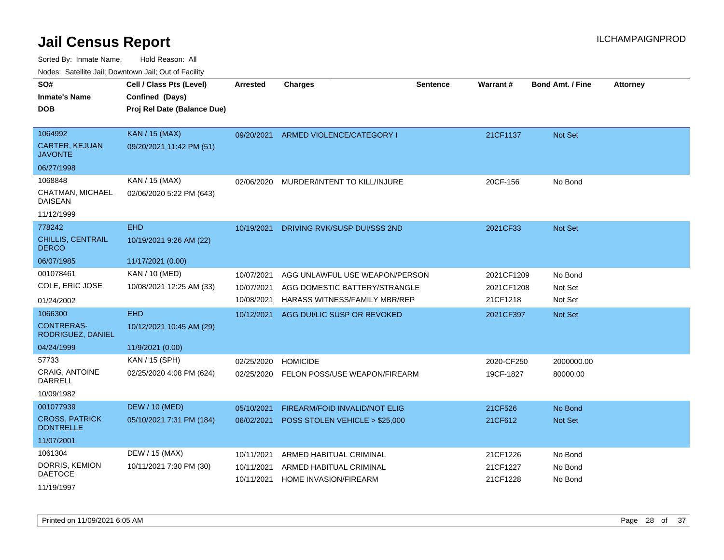| SO#                                       | Cell / Class Pts (Level)    | <b>Arrested</b> | <b>Charges</b>                       | <b>Sentence</b> | Warrant#   | <b>Bond Amt. / Fine</b> | <b>Attorney</b> |
|-------------------------------------------|-----------------------------|-----------------|--------------------------------------|-----------------|------------|-------------------------|-----------------|
| <b>Inmate's Name</b>                      | Confined (Days)             |                 |                                      |                 |            |                         |                 |
| DOB                                       | Proj Rel Date (Balance Due) |                 |                                      |                 |            |                         |                 |
|                                           |                             |                 |                                      |                 |            |                         |                 |
| 1064992                                   | <b>KAN / 15 (MAX)</b>       | 09/20/2021      | ARMED VIOLENCE/CATEGORY I            |                 | 21CF1137   | Not Set                 |                 |
| <b>CARTER, KEJUAN</b><br><b>JAVONTE</b>   | 09/20/2021 11:42 PM (51)    |                 |                                      |                 |            |                         |                 |
| 06/27/1998                                |                             |                 |                                      |                 |            |                         |                 |
| 1068848                                   | KAN / 15 (MAX)              | 02/06/2020      | MURDER/INTENT TO KILL/INJURE         |                 | 20CF-156   | No Bond                 |                 |
| CHATMAN, MICHAEL<br>DAISEAN               | 02/06/2020 5:22 PM (643)    |                 |                                      |                 |            |                         |                 |
| 11/12/1999                                |                             |                 |                                      |                 |            |                         |                 |
| 778242                                    | <b>EHD</b>                  | 10/19/2021      | DRIVING RVK/SUSP DUI/SSS 2ND         |                 | 2021CF33   | Not Set                 |                 |
| CHILLIS, CENTRAIL<br><b>DERCO</b>         | 10/19/2021 9:26 AM (22)     |                 |                                      |                 |            |                         |                 |
| 06/07/1985                                | 11/17/2021 (0.00)           |                 |                                      |                 |            |                         |                 |
| 001078461                                 | <b>KAN / 10 (MED)</b>       | 10/07/2021      | AGG UNLAWFUL USE WEAPON/PERSON       |                 | 2021CF1209 | No Bond                 |                 |
| COLE, ERIC JOSE                           | 10/08/2021 12:25 AM (33)    | 10/07/2021      | AGG DOMESTIC BATTERY/STRANGLE        |                 | 2021CF1208 | Not Set                 |                 |
| 01/24/2002                                |                             | 10/08/2021      | <b>HARASS WITNESS/FAMILY MBR/REP</b> |                 | 21CF1218   | Not Set                 |                 |
| 1066300                                   | <b>EHD</b>                  | 10/12/2021      | AGG DUI/LIC SUSP OR REVOKED          |                 | 2021CF397  | Not Set                 |                 |
| <b>CONTRERAS-</b><br>RODRIGUEZ, DANIEL    | 10/12/2021 10:45 AM (29)    |                 |                                      |                 |            |                         |                 |
| 04/24/1999                                | 11/9/2021 (0.00)            |                 |                                      |                 |            |                         |                 |
| 57733                                     | KAN / 15 (SPH)              | 02/25/2020      | <b>HOMICIDE</b>                      |                 | 2020-CF250 | 2000000.00              |                 |
| <b>CRAIG, ANTOINE</b><br>DARRELL          | 02/25/2020 4:08 PM (624)    | 02/25/2020      | FELON POSS/USE WEAPON/FIREARM        |                 | 19CF-1827  | 80000.00                |                 |
| 10/09/1982                                |                             |                 |                                      |                 |            |                         |                 |
| 001077939                                 | <b>DEW / 10 (MED)</b>       | 05/10/2021      | FIREARM/FOID INVALID/NOT ELIG        |                 | 21CF526    | No Bond                 |                 |
| <b>CROSS, PATRICK</b><br><b>DONTRELLE</b> | 05/10/2021 7:31 PM (184)    | 06/02/2021      | POSS STOLEN VEHICLE > \$25,000       |                 | 21CF612    | <b>Not Set</b>          |                 |
| 11/07/2001                                |                             |                 |                                      |                 |            |                         |                 |
| 1061304                                   | DEW / 15 (MAX)              | 10/11/2021      | ARMED HABITUAL CRIMINAL              |                 | 21CF1226   | No Bond                 |                 |
| DORRIS, KEMION                            | 10/11/2021 7:30 PM (30)     | 10/11/2021      | ARMED HABITUAL CRIMINAL              |                 | 21CF1227   | No Bond                 |                 |
| <b>DAETOCE</b>                            |                             | 10/11/2021      | HOME INVASION/FIREARM                |                 | 21CF1228   | No Bond                 |                 |
| 11/19/1997                                |                             |                 |                                      |                 |            |                         |                 |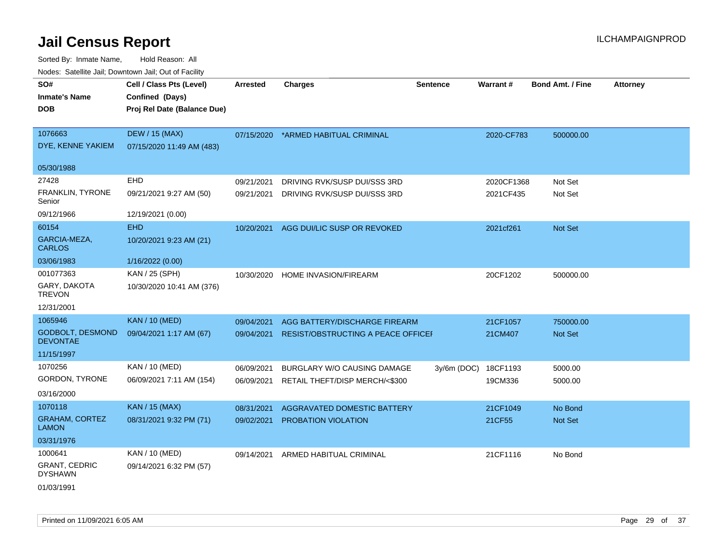| rougs. Calcinic Jan, Downtown Jan, Out of Facility |                             |                 |                                        |                 |            |                         |                 |
|----------------------------------------------------|-----------------------------|-----------------|----------------------------------------|-----------------|------------|-------------------------|-----------------|
| SO#                                                | Cell / Class Pts (Level)    | <b>Arrested</b> | <b>Charges</b>                         | <b>Sentence</b> | Warrant#   | <b>Bond Amt. / Fine</b> | <b>Attorney</b> |
| <b>Inmate's Name</b>                               | Confined (Days)             |                 |                                        |                 |            |                         |                 |
| <b>DOB</b>                                         | Proj Rel Date (Balance Due) |                 |                                        |                 |            |                         |                 |
|                                                    |                             |                 |                                        |                 |            |                         |                 |
| 1076663                                            | <b>DEW / 15 (MAX)</b>       | 07/15/2020      | *ARMED HABITUAL CRIMINAL               |                 | 2020-CF783 | 500000.00               |                 |
| DYE, KENNE YAKIEM                                  | 07/15/2020 11:49 AM (483)   |                 |                                        |                 |            |                         |                 |
| 05/30/1988                                         |                             |                 |                                        |                 |            |                         |                 |
| 27428                                              | EHD                         | 09/21/2021      | DRIVING RVK/SUSP DUI/SSS 3RD           |                 | 2020CF1368 | Not Set                 |                 |
| FRANKLIN, TYRONE<br>Senior                         | 09/21/2021 9:27 AM (50)     | 09/21/2021      | DRIVING RVK/SUSP DUI/SSS 3RD           |                 | 2021CF435  | Not Set                 |                 |
| 09/12/1966                                         | 12/19/2021 (0.00)           |                 |                                        |                 |            |                         |                 |
| 60154                                              | <b>EHD</b>                  |                 | 10/20/2021 AGG DUI/LIC SUSP OR REVOKED |                 | 2021cf261  | Not Set                 |                 |
| GARCIA-MEZA,<br><b>CARLOS</b>                      | 10/20/2021 9:23 AM (21)     |                 |                                        |                 |            |                         |                 |
| 03/06/1983                                         | 1/16/2022 (0.00)            |                 |                                        |                 |            |                         |                 |
| 001077363                                          | KAN / 25 (SPH)              | 10/30/2020      | HOME INVASION/FIREARM                  |                 | 20CF1202   | 500000.00               |                 |
| GARY, DAKOTA<br><b>TREVON</b>                      | 10/30/2020 10:41 AM (376)   |                 |                                        |                 |            |                         |                 |
| 12/31/2001                                         |                             |                 |                                        |                 |            |                         |                 |
| 1065946                                            | <b>KAN / 10 (MED)</b>       | 09/04/2021      | AGG BATTERY/DISCHARGE FIREARM          |                 | 21CF1057   | 750000.00               |                 |
| <b>GODBOLT, DESMOND</b><br><b>DEVONTAE</b>         | 09/04/2021 1:17 AM (67)     | 09/04/2021      | RESIST/OBSTRUCTING A PEACE OFFICEI     |                 | 21CM407    | Not Set                 |                 |
| 11/15/1997                                         |                             |                 |                                        |                 |            |                         |                 |
| 1070256                                            | KAN / 10 (MED)              | 06/09/2021      | BURGLARY W/O CAUSING DAMAGE            | $3y/6m$ (DOC)   | 18CF1193   | 5000.00                 |                 |
| GORDON, TYRONE                                     | 06/09/2021 7:11 AM (154)    | 06/09/2021      | RETAIL THEFT/DISP MERCH/<\$300         |                 | 19CM336    | 5000.00                 |                 |
| 03/16/2000                                         |                             |                 |                                        |                 |            |                         |                 |
| 1070118                                            | <b>KAN / 15 (MAX)</b>       | 08/31/2021      | AGGRAVATED DOMESTIC BATTERY            |                 | 21CF1049   | No Bond                 |                 |
| <b>GRAHAM, CORTEZ</b><br><b>LAMON</b>              | 08/31/2021 9:32 PM (71)     | 09/02/2021      | PROBATION VIOLATION                    |                 | 21CF55     | Not Set                 |                 |
| 03/31/1976                                         |                             |                 |                                        |                 |            |                         |                 |
| 1000641                                            | KAN / 10 (MED)              | 09/14/2021      | ARMED HABITUAL CRIMINAL                |                 | 21CF1116   | No Bond                 |                 |
| <b>GRANT, CEDRIC</b><br><b>DYSHAWN</b>             | 09/14/2021 6:32 PM (57)     |                 |                                        |                 |            |                         |                 |
| 01/03/1991                                         |                             |                 |                                        |                 |            |                         |                 |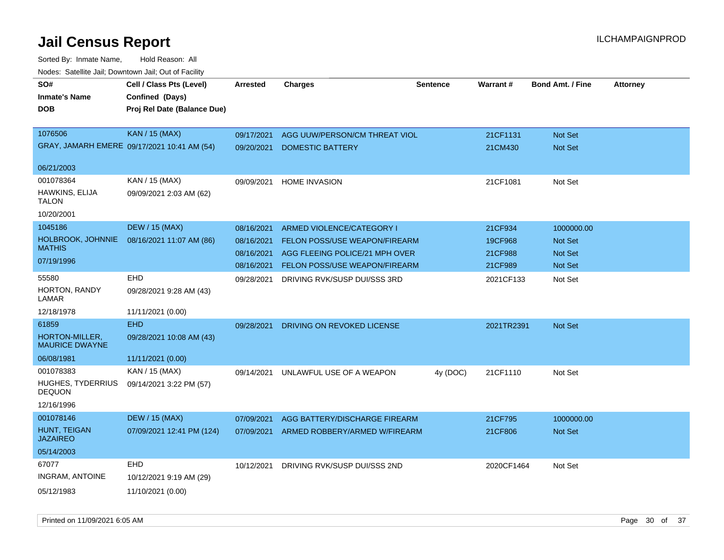| Todoo: Catolino can, Dominomii can, Oat of Faoint<br>SO#<br><b>Inmate's Name</b><br><b>DOB</b> | Cell / Class Pts (Level)<br>Confined (Days)<br>Proj Rel Date (Balance Due) | Arrested   | <b>Charges</b>                       | <b>Sentence</b> | <b>Warrant#</b> | <b>Bond Amt. / Fine</b> | <b>Attorney</b> |
|------------------------------------------------------------------------------------------------|----------------------------------------------------------------------------|------------|--------------------------------------|-----------------|-----------------|-------------------------|-----------------|
| 1076506                                                                                        | <b>KAN / 15 (MAX)</b>                                                      | 09/17/2021 | AGG UUW/PERSON/CM THREAT VIOL        |                 | 21CF1131        | Not Set                 |                 |
|                                                                                                | GRAY, JAMARH EMERE 09/17/2021 10:41 AM (54)                                | 09/20/2021 | <b>DOMESTIC BATTERY</b>              |                 | 21CM430         | Not Set                 |                 |
| 06/21/2003                                                                                     |                                                                            |            |                                      |                 |                 |                         |                 |
| 001078364                                                                                      | KAN / 15 (MAX)                                                             | 09/09/2021 | <b>HOME INVASION</b>                 |                 | 21CF1081        | Not Set                 |                 |
| HAWKINS, ELIJA<br><b>TALON</b>                                                                 | 09/09/2021 2:03 AM (62)                                                    |            |                                      |                 |                 |                         |                 |
| 10/20/2001                                                                                     |                                                                            |            |                                      |                 |                 |                         |                 |
| 1045186                                                                                        | <b>DEW / 15 (MAX)</b>                                                      | 08/16/2021 | ARMED VIOLENCE/CATEGORY I            |                 | 21CF934         | 1000000.00              |                 |
| HOLBROOK, JOHNNIE                                                                              | 08/16/2021 11:07 AM (86)                                                   | 08/16/2021 | <b>FELON POSS/USE WEAPON/FIREARM</b> |                 | 19CF968         | <b>Not Set</b>          |                 |
| <b>MATHIS</b>                                                                                  |                                                                            | 08/16/2021 | AGG FLEEING POLICE/21 MPH OVER       |                 | 21CF988         | <b>Not Set</b>          |                 |
| 07/19/1996                                                                                     |                                                                            | 08/16/2021 | <b>FELON POSS/USE WEAPON/FIREARM</b> |                 | 21CF989         | Not Set                 |                 |
| 55580                                                                                          | EHD                                                                        | 09/28/2021 | DRIVING RVK/SUSP DUI/SSS 3RD         |                 | 2021CF133       | Not Set                 |                 |
| HORTON, RANDY<br>LAMAR                                                                         | 09/28/2021 9:28 AM (43)                                                    |            |                                      |                 |                 |                         |                 |
| 12/18/1978                                                                                     | 11/11/2021 (0.00)                                                          |            |                                      |                 |                 |                         |                 |
| 61859                                                                                          | <b>EHD</b>                                                                 | 09/28/2021 | DRIVING ON REVOKED LICENSE           |                 | 2021TR2391      | Not Set                 |                 |
| HORTON-MILLER,<br><b>MAURICE DWAYNE</b>                                                        | 09/28/2021 10:08 AM (43)                                                   |            |                                      |                 |                 |                         |                 |
| 06/08/1981                                                                                     | 11/11/2021 (0.00)                                                          |            |                                      |                 |                 |                         |                 |
| 001078383                                                                                      | KAN / 15 (MAX)                                                             | 09/14/2021 | UNLAWFUL USE OF A WEAPON             | $4v$ (DOC)      | 21CF1110        | Not Set                 |                 |
| <b>HUGHES, TYDERRIUS</b><br><b>DEQUON</b>                                                      | 09/14/2021 3:22 PM (57)                                                    |            |                                      |                 |                 |                         |                 |
| 12/16/1996                                                                                     |                                                                            |            |                                      |                 |                 |                         |                 |
| 001078146                                                                                      | <b>DEW / 15 (MAX)</b>                                                      | 07/09/2021 | AGG BATTERY/DISCHARGE FIREARM        |                 | 21CF795         | 1000000.00              |                 |
| HUNT, TEIGAN<br><b>JAZAIREO</b>                                                                | 07/09/2021 12:41 PM (124)                                                  | 07/09/2021 | ARMED ROBBERY/ARMED W/FIREARM        |                 | 21CF806         | Not Set                 |                 |
| 05/14/2003                                                                                     |                                                                            |            |                                      |                 |                 |                         |                 |
| 67077                                                                                          | EHD                                                                        | 10/12/2021 | DRIVING RVK/SUSP DUI/SSS 2ND         |                 | 2020CF1464      | Not Set                 |                 |
| INGRAM, ANTOINE                                                                                | 10/12/2021 9:19 AM (29)                                                    |            |                                      |                 |                 |                         |                 |
| 05/12/1983                                                                                     | 11/10/2021 (0.00)                                                          |            |                                      |                 |                 |                         |                 |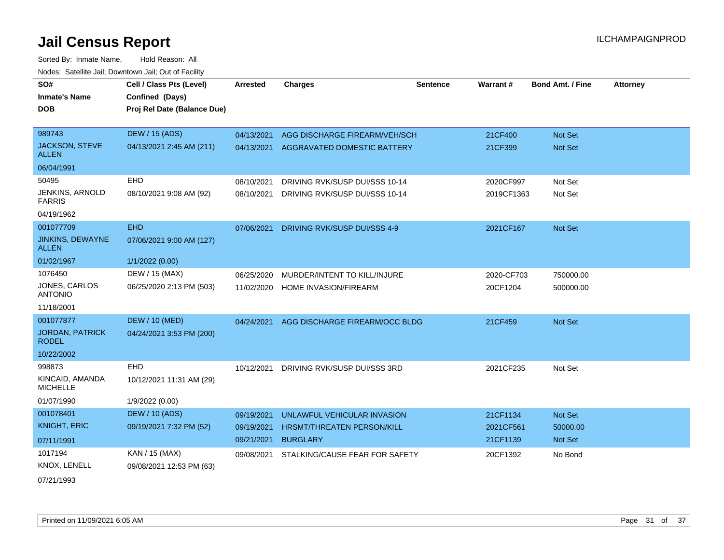| SO#                                    | Cell / Class Pts (Level)    | <b>Arrested</b> | <b>Charges</b>                            | <b>Sentence</b> | Warrant#   | <b>Bond Amt. / Fine</b> | Attorney |
|----------------------------------------|-----------------------------|-----------------|-------------------------------------------|-----------------|------------|-------------------------|----------|
| <b>Inmate's Name</b>                   | Confined (Days)             |                 |                                           |                 |            |                         |          |
| <b>DOB</b>                             | Proj Rel Date (Balance Due) |                 |                                           |                 |            |                         |          |
|                                        |                             |                 |                                           |                 |            |                         |          |
| 989743                                 | <b>DEW / 15 (ADS)</b>       | 04/13/2021      | AGG DISCHARGE FIREARM/VEH/SCH             |                 | 21CF400    | Not Set                 |          |
| JACKSON, STEVE<br><b>ALLEN</b>         | 04/13/2021 2:45 AM (211)    |                 | 04/13/2021 AGGRAVATED DOMESTIC BATTERY    |                 | 21CF399    | Not Set                 |          |
| 06/04/1991                             |                             |                 |                                           |                 |            |                         |          |
| 50495                                  | <b>EHD</b>                  | 08/10/2021      | DRIVING RVK/SUSP DUI/SSS 10-14            |                 | 2020CF997  | Not Set                 |          |
| JENKINS, ARNOLD<br><b>FARRIS</b>       | 08/10/2021 9:08 AM (92)     |                 | 08/10/2021 DRIVING RVK/SUSP DUI/SSS 10-14 |                 | 2019CF1363 | Not Set                 |          |
| 04/19/1962                             |                             |                 |                                           |                 |            |                         |          |
| 001077709                              | <b>EHD</b>                  | 07/06/2021      | DRIVING RVK/SUSP DUI/SSS 4-9              |                 | 2021CF167  | Not Set                 |          |
| JINKINS, DEWAYNE<br><b>ALLEN</b>       | 07/06/2021 9:00 AM (127)    |                 |                                           |                 |            |                         |          |
| 01/02/1967                             | 1/1/2022 (0.00)             |                 |                                           |                 |            |                         |          |
| 1076450                                | DEW / 15 (MAX)              | 06/25/2020      | MURDER/INTENT TO KILL/INJURE              |                 | 2020-CF703 | 750000.00               |          |
| JONES, CARLOS<br><b>ANTONIO</b>        | 06/25/2020 2:13 PM (503)    |                 | 11/02/2020 HOME INVASION/FIREARM          |                 | 20CF1204   | 500000.00               |          |
| 11/18/2001                             |                             |                 |                                           |                 |            |                         |          |
| 001077877                              | <b>DEW / 10 (MED)</b>       | 04/24/2021      | AGG DISCHARGE FIREARM/OCC BLDG            |                 | 21CF459    | Not Set                 |          |
| <b>JORDAN, PATRICK</b><br><b>RODEL</b> | 04/24/2021 3:53 PM (200)    |                 |                                           |                 |            |                         |          |
| 10/22/2002                             |                             |                 |                                           |                 |            |                         |          |
| 998873                                 | EHD                         | 10/12/2021      | DRIVING RVK/SUSP DUI/SSS 3RD              |                 | 2021CF235  | Not Set                 |          |
| KINCAID, AMANDA<br><b>MICHELLE</b>     | 10/12/2021 11:31 AM (29)    |                 |                                           |                 |            |                         |          |
| 01/07/1990                             | 1/9/2022 (0.00)             |                 |                                           |                 |            |                         |          |
| 001078401                              | <b>DEW / 10 (ADS)</b>       | 09/19/2021      | UNLAWFUL VEHICULAR INVASION               |                 | 21CF1134   | Not Set                 |          |
| <b>KNIGHT, ERIC</b>                    | 09/19/2021 7:32 PM (52)     | 09/19/2021      | HRSMT/THREATEN PERSON/KILL                |                 | 2021CF561  | 50000.00                |          |
| 07/11/1991                             |                             | 09/21/2021      | <b>BURGLARY</b>                           |                 | 21CF1139   | Not Set                 |          |
| 1017194                                | KAN / 15 (MAX)              |                 | 09/08/2021 STALKING/CAUSE FEAR FOR SAFETY |                 | 20CF1392   | No Bond                 |          |
| KNOX, LENELL                           | 09/08/2021 12:53 PM (63)    |                 |                                           |                 |            |                         |          |
| 07/21/1993                             |                             |                 |                                           |                 |            |                         |          |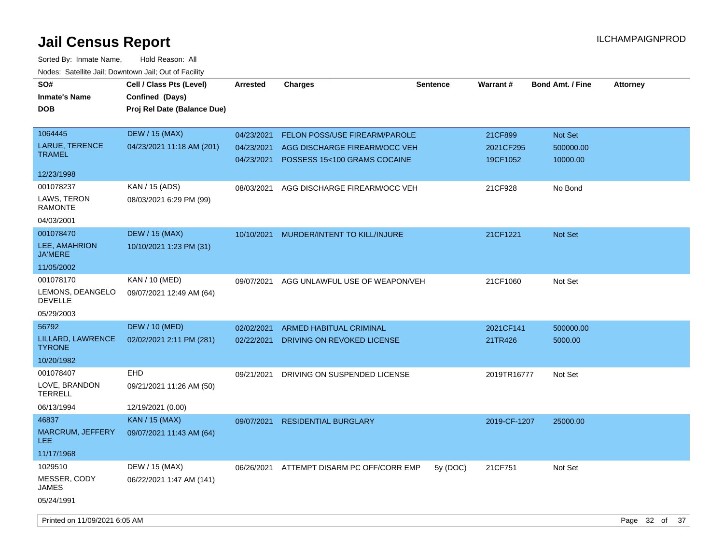| SO#<br><b>Inmate's Name</b><br>DOB | Cell / Class Pts (Level)<br>Confined (Days)<br>Proj Rel Date (Balance Due) | <b>Arrested</b>          | <b>Charges</b>                                                | <b>Sentence</b> | Warrant#              | <b>Bond Amt. / Fine</b> | <b>Attorney</b> |
|------------------------------------|----------------------------------------------------------------------------|--------------------------|---------------------------------------------------------------|-----------------|-----------------------|-------------------------|-----------------|
| 1064445                            | <b>DEW / 15 (MAX)</b>                                                      | 04/23/2021               | FELON POSS/USE FIREARM/PAROLE                                 |                 | 21CF899               | Not Set                 |                 |
| LARUE, TERENCE<br><b>TRAMEL</b>    | 04/23/2021 11:18 AM (201)                                                  | 04/23/2021<br>04/23/2021 | AGG DISCHARGE FIREARM/OCC VEH<br>POSSESS 15<100 GRAMS COCAINE |                 | 2021CF295<br>19CF1052 | 500000.00<br>10000.00   |                 |
| 12/23/1998                         |                                                                            |                          |                                                               |                 |                       |                         |                 |
| 001078237                          | KAN / 15 (ADS)                                                             | 08/03/2021               | AGG DISCHARGE FIREARM/OCC VEH                                 |                 | 21CF928               | No Bond                 |                 |
| LAWS, TERON<br><b>RAMONTE</b>      | 08/03/2021 6:29 PM (99)                                                    |                          |                                                               |                 |                       |                         |                 |
| 04/03/2001                         |                                                                            |                          |                                                               |                 |                       |                         |                 |
| 001078470                          | <b>DEW / 15 (MAX)</b>                                                      | 10/10/2021               | MURDER/INTENT TO KILL/INJURE                                  |                 | 21CF1221              | <b>Not Set</b>          |                 |
| LEE, AMAHRION<br><b>JA'MERE</b>    | 10/10/2021 1:23 PM (31)                                                    |                          |                                                               |                 |                       |                         |                 |
| 11/05/2002                         |                                                                            |                          |                                                               |                 |                       |                         |                 |
| 001078170                          | KAN / 10 (MED)                                                             | 09/07/2021               | AGG UNLAWFUL USE OF WEAPON/VEH                                |                 | 21CF1060              | Not Set                 |                 |
| LEMONS, DEANGELO<br>DEVELLE        | 09/07/2021 12:49 AM (64)                                                   |                          |                                                               |                 |                       |                         |                 |
| 05/29/2003                         |                                                                            |                          |                                                               |                 |                       |                         |                 |
| 56792                              | <b>DEW / 10 (MED)</b>                                                      | 02/02/2021               | <b>ARMED HABITUAL CRIMINAL</b>                                |                 | 2021CF141             | 500000.00               |                 |
| LILLARD, LAWRENCE<br><b>TYRONE</b> | 02/02/2021 2:11 PM (281)                                                   | 02/22/2021               | DRIVING ON REVOKED LICENSE                                    |                 | 21TR426               | 5000.00                 |                 |
| 10/20/1982                         |                                                                            |                          |                                                               |                 |                       |                         |                 |
| 001078407                          | <b>EHD</b>                                                                 | 09/21/2021               | DRIVING ON SUSPENDED LICENSE                                  |                 | 2019TR16777           | Not Set                 |                 |
| LOVE, BRANDON<br><b>TERRELL</b>    | 09/21/2021 11:26 AM (50)                                                   |                          |                                                               |                 |                       |                         |                 |
| 06/13/1994                         | 12/19/2021 (0.00)                                                          |                          |                                                               |                 |                       |                         |                 |
| 46837                              | <b>KAN / 15 (MAX)</b>                                                      | 09/07/2021               | <b>RESIDENTIAL BURGLARY</b>                                   |                 | 2019-CF-1207          | 25000.00                |                 |
| MARCRUM, JEFFERY<br>LEE.           | 09/07/2021 11:43 AM (64)                                                   |                          |                                                               |                 |                       |                         |                 |
| 11/17/1968                         |                                                                            |                          |                                                               |                 |                       |                         |                 |
| 1029510                            | DEW / 15 (MAX)                                                             | 06/26/2021               | ATTEMPT DISARM PC OFF/CORR EMP                                | 5y (DOC)        | 21CF751               | Not Set                 |                 |
| MESSER, CODY<br>JAMES              | 06/22/2021 1:47 AM (141)                                                   |                          |                                                               |                 |                       |                         |                 |
| 05/24/1991                         |                                                                            |                          |                                                               |                 |                       |                         |                 |
| Printed on 11/09/2021 6:05 AM      |                                                                            |                          |                                                               |                 |                       |                         | Page 32 of 37   |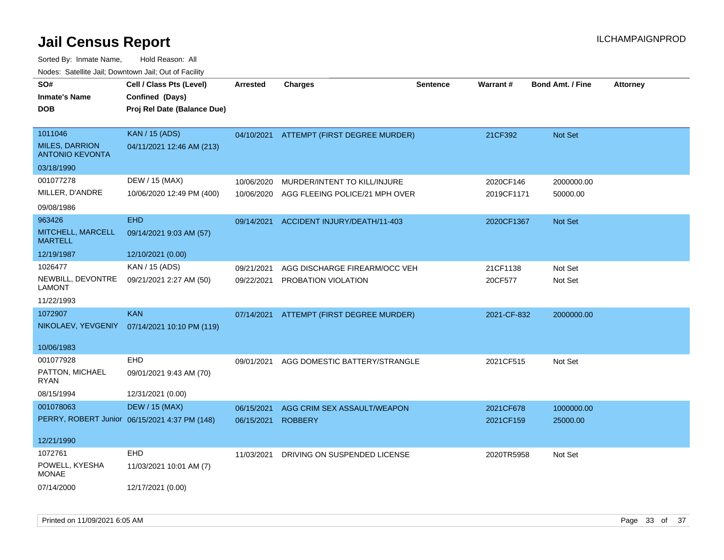| SO#                                             | Cell / Class Pts (Level)                      | Arrested   | <b>Charges</b>                           | Sentence | Warrant#    | <b>Bond Amt. / Fine</b> | <b>Attorney</b> |
|-------------------------------------------------|-----------------------------------------------|------------|------------------------------------------|----------|-------------|-------------------------|-----------------|
| <b>Inmate's Name</b>                            | Confined (Days)                               |            |                                          |          |             |                         |                 |
| <b>DOB</b>                                      | Proj Rel Date (Balance Due)                   |            |                                          |          |             |                         |                 |
|                                                 |                                               |            |                                          |          |             |                         |                 |
| 1011046                                         | <b>KAN / 15 (ADS)</b>                         |            | 04/10/2021 ATTEMPT (FIRST DEGREE MURDER) |          | 21CF392     | Not Set                 |                 |
| <b>MILES, DARRION</b><br><b>ANTONIO KEVONTA</b> | 04/11/2021 12:46 AM (213)                     |            |                                          |          |             |                         |                 |
| 03/18/1990                                      |                                               |            |                                          |          |             |                         |                 |
| 001077278                                       | DEW / 15 (MAX)                                | 10/06/2020 | MURDER/INTENT TO KILL/INJURE             |          | 2020CF146   | 2000000.00              |                 |
| MILLER, D'ANDRE                                 | 10/06/2020 12:49 PM (400)                     | 10/06/2020 | AGG FLEEING POLICE/21 MPH OVER           |          | 2019CF1171  | 50000.00                |                 |
| 09/08/1986                                      |                                               |            |                                          |          |             |                         |                 |
| 963426                                          | <b>EHD</b>                                    | 09/14/2021 | ACCIDENT INJURY/DEATH/11-403             |          | 2020CF1367  | Not Set                 |                 |
| MITCHELL, MARCELL<br><b>MARTELL</b>             | 09/14/2021 9:03 AM (57)                       |            |                                          |          |             |                         |                 |
| 12/19/1987                                      | 12/10/2021 (0.00)                             |            |                                          |          |             |                         |                 |
| 1026477                                         | KAN / 15 (ADS)                                | 09/21/2021 | AGG DISCHARGE FIREARM/OCC VEH            |          | 21CF1138    | Not Set                 |                 |
| NEWBILL, DEVONTRE<br><b>LAMONT</b>              | 09/21/2021 2:27 AM (50)                       | 09/22/2021 | PROBATION VIOLATION                      |          | 20CF577     | Not Set                 |                 |
| 11/22/1993                                      |                                               |            |                                          |          |             |                         |                 |
| 1072907                                         | <b>KAN</b>                                    | 07/14/2021 | ATTEMPT (FIRST DEGREE MURDER)            |          | 2021-CF-832 | 2000000.00              |                 |
| NIKOLAEV, YEVGENIY                              | 07/14/2021 10:10 PM (119)                     |            |                                          |          |             |                         |                 |
|                                                 |                                               |            |                                          |          |             |                         |                 |
| 10/06/1983                                      |                                               |            |                                          |          |             |                         |                 |
| 001077928                                       | EHD                                           | 09/01/2021 | AGG DOMESTIC BATTERY/STRANGLE            |          | 2021CF515   | Not Set                 |                 |
| PATTON, MICHAEL<br>RYAN                         | 09/01/2021 9:43 AM (70)                       |            |                                          |          |             |                         |                 |
| 08/15/1994                                      | 12/31/2021 (0.00)                             |            |                                          |          |             |                         |                 |
| 001078063                                       | <b>DEW / 15 (MAX)</b>                         | 06/15/2021 | AGG CRIM SEX ASSAULT/WEAPON              |          | 2021CF678   | 1000000.00              |                 |
|                                                 | PERRY, ROBERT Junior 06/15/2021 4:37 PM (148) | 06/15/2021 | <b>ROBBERY</b>                           |          | 2021CF159   | 25000.00                |                 |
|                                                 |                                               |            |                                          |          |             |                         |                 |
| 12/21/1990                                      |                                               |            |                                          |          |             |                         |                 |
| 1072761                                         | <b>EHD</b>                                    | 11/03/2021 | DRIVING ON SUSPENDED LICENSE             |          | 2020TR5958  | Not Set                 |                 |
| POWELL, KYESHA<br><b>MONAE</b>                  | 11/03/2021 10:01 AM (7)                       |            |                                          |          |             |                         |                 |
| 07/14/2000                                      | 12/17/2021 (0.00)                             |            |                                          |          |             |                         |                 |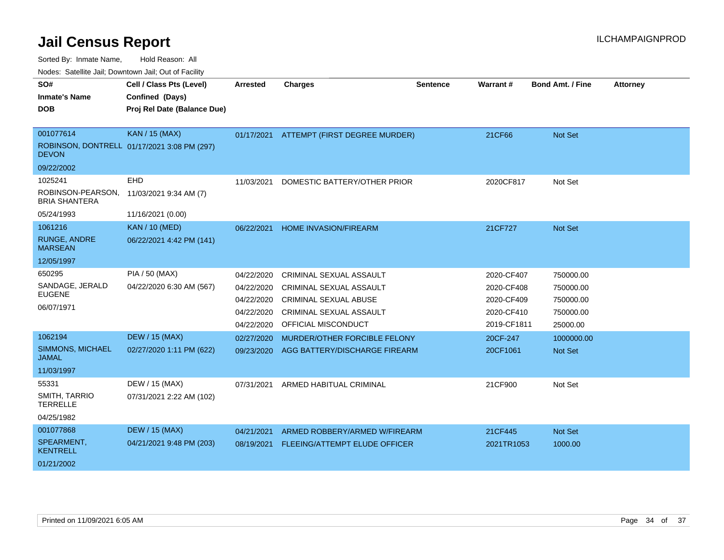Sorted By: Inmate Name, Hold Reason: All

Nodes: Satellite Jail; Downtown Jail; Out of Facility

| SO#                                       | Cell / Class Pts (Level)                       | <b>Arrested</b> | <b>Charges</b>                       | <b>Sentence</b> | <b>Warrant#</b> | <b>Bond Amt. / Fine</b> | <b>Attorney</b> |
|-------------------------------------------|------------------------------------------------|-----------------|--------------------------------------|-----------------|-----------------|-------------------------|-----------------|
| <b>Inmate's Name</b><br><b>DOB</b>        | Confined (Days)<br>Proj Rel Date (Balance Due) |                 |                                      |                 |                 |                         |                 |
|                                           |                                                |                 |                                      |                 |                 |                         |                 |
| 001077614                                 | <b>KAN / 15 (MAX)</b>                          | 01/17/2021      | ATTEMPT (FIRST DEGREE MURDER)        |                 | 21CF66          | Not Set                 |                 |
| <b>DEVON</b>                              | ROBINSON, DONTRELL 01/17/2021 3:08 PM (297)    |                 |                                      |                 |                 |                         |                 |
| 09/22/2002                                |                                                |                 |                                      |                 |                 |                         |                 |
| 1025241                                   | EHD                                            | 11/03/2021      | DOMESTIC BATTERY/OTHER PRIOR         |                 | 2020CF817       | Not Set                 |                 |
| ROBINSON-PEARSON,<br><b>BRIA SHANTERA</b> | 11/03/2021 9:34 AM (7)                         |                 |                                      |                 |                 |                         |                 |
| 05/24/1993                                | 11/16/2021 (0.00)                              |                 |                                      |                 |                 |                         |                 |
| 1061216                                   | <b>KAN / 10 (MED)</b>                          | 06/22/2021      | <b>HOME INVASION/FIREARM</b>         |                 | 21CF727         | <b>Not Set</b>          |                 |
| <b>RUNGE, ANDRE</b><br><b>MARSEAN</b>     | 06/22/2021 4:42 PM (141)                       |                 |                                      |                 |                 |                         |                 |
| 12/05/1997                                |                                                |                 |                                      |                 |                 |                         |                 |
| 650295                                    | PIA / 50 (MAX)                                 | 04/22/2020      | <b>CRIMINAL SEXUAL ASSAULT</b>       |                 | 2020-CF407      | 750000.00               |                 |
| SANDAGE, JERALD                           | 04/22/2020 6:30 AM (567)                       | 04/22/2020      | <b>CRIMINAL SEXUAL ASSAULT</b>       |                 | 2020-CF408      | 750000.00               |                 |
| <b>EUGENE</b>                             |                                                | 04/22/2020      | CRIMINAL SEXUAL ABUSE                |                 | 2020-CF409      | 750000.00               |                 |
| 06/07/1971                                |                                                | 04/22/2020      | <b>CRIMINAL SEXUAL ASSAULT</b>       |                 | 2020-CF410      | 750000.00               |                 |
|                                           |                                                | 04/22/2020      | OFFICIAL MISCONDUCT                  |                 | 2019-CF1811     | 25000.00                |                 |
| 1062194                                   | <b>DEW / 15 (MAX)</b>                          | 02/27/2020      | MURDER/OTHER FORCIBLE FELONY         |                 | 20CF-247        | 1000000.00              |                 |
| SIMMONS, MICHAEL<br><b>JAMAL</b>          | 02/27/2020 1:11 PM (622)                       | 09/23/2020      | AGG BATTERY/DISCHARGE FIREARM        |                 | 20CF1061        | <b>Not Set</b>          |                 |
| 11/03/1997                                |                                                |                 |                                      |                 |                 |                         |                 |
| 55331                                     | DEW / 15 (MAX)                                 | 07/31/2021      | ARMED HABITUAL CRIMINAL              |                 | 21CF900         | Not Set                 |                 |
| SMITH, TARRIO<br><b>TERRELLE</b>          | 07/31/2021 2:22 AM (102)                       |                 |                                      |                 |                 |                         |                 |
| 04/25/1982                                |                                                |                 |                                      |                 |                 |                         |                 |
| 001077868                                 | <b>DEW / 15 (MAX)</b>                          | 04/21/2021      | ARMED ROBBERY/ARMED W/FIREARM        |                 | 21CF445         | Not Set                 |                 |
| SPEARMENT,<br><b>KENTRELL</b>             | 04/21/2021 9:48 PM (203)                       | 08/19/2021      | <b>FLEEING/ATTEMPT ELUDE OFFICER</b> |                 | 2021TR1053      | 1000.00                 |                 |
| 01/21/2002                                |                                                |                 |                                      |                 |                 |                         |                 |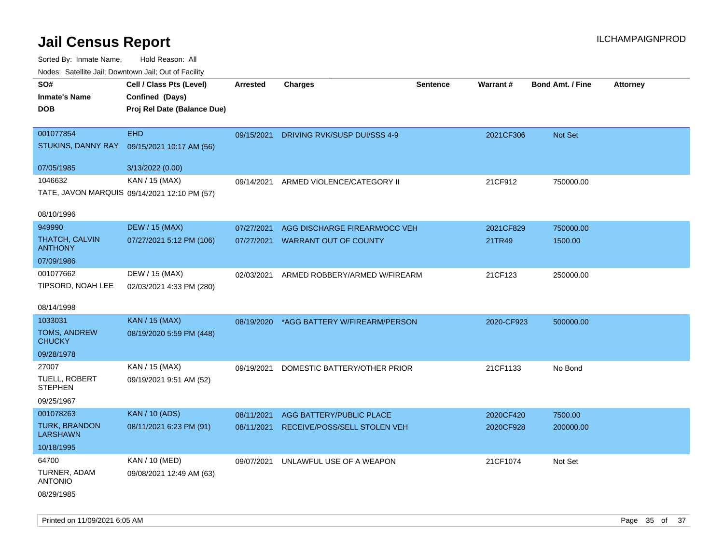| Nodes. Satellite Jali, Downtown Jali, Out of Facility |                                              |            |                               |                 |                 |                         |                 |
|-------------------------------------------------------|----------------------------------------------|------------|-------------------------------|-----------------|-----------------|-------------------------|-----------------|
| SO#                                                   | Cell / Class Pts (Level)                     | Arrested   | Charges                       | <b>Sentence</b> | <b>Warrant#</b> | <b>Bond Amt. / Fine</b> | <b>Attorney</b> |
| <b>Inmate's Name</b>                                  | Confined (Days)                              |            |                               |                 |                 |                         |                 |
| <b>DOB</b>                                            | Proj Rel Date (Balance Due)                  |            |                               |                 |                 |                         |                 |
|                                                       |                                              |            |                               |                 |                 |                         |                 |
| 001077854                                             | <b>EHD</b>                                   | 09/15/2021 | DRIVING RVK/SUSP DUI/SSS 4-9  |                 | 2021CF306       | Not Set                 |                 |
| STUKINS, DANNY RAY                                    | 09/15/2021 10:17 AM (56)                     |            |                               |                 |                 |                         |                 |
| 07/05/1985                                            | 3/13/2022 (0.00)                             |            |                               |                 |                 |                         |                 |
| 1046632                                               | KAN / 15 (MAX)                               | 09/14/2021 | ARMED VIOLENCE/CATEGORY II    |                 | 21CF912         | 750000.00               |                 |
|                                                       | TATE, JAVON MARQUIS 09/14/2021 12:10 PM (57) |            |                               |                 |                 |                         |                 |
| 08/10/1996                                            |                                              |            |                               |                 |                 |                         |                 |
| 949990                                                | <b>DEW / 15 (MAX)</b>                        | 07/27/2021 | AGG DISCHARGE FIREARM/OCC VEH |                 | 2021CF829       | 750000.00               |                 |
| <b>THATCH, CALVIN</b><br><b>ANTHONY</b>               | 07/27/2021 5:12 PM (106)                     | 07/27/2021 | <b>WARRANT OUT OF COUNTY</b>  |                 | 21TR49          | 1500.00                 |                 |
| 07/09/1986                                            |                                              |            |                               |                 |                 |                         |                 |
| 001077662                                             | DEW / 15 (MAX)                               | 02/03/2021 | ARMED ROBBERY/ARMED W/FIREARM |                 | 21CF123         | 250000.00               |                 |
| TIPSORD, NOAH LEE                                     | 02/03/2021 4:33 PM (280)                     |            |                               |                 |                 |                         |                 |
|                                                       |                                              |            |                               |                 |                 |                         |                 |
| 08/14/1998                                            |                                              |            |                               |                 |                 |                         |                 |
| 1033031                                               | <b>KAN / 15 (MAX)</b>                        | 08/19/2020 | *AGG BATTERY W/FIREARM/PERSON |                 | 2020-CF923      | 500000.00               |                 |
| <b>TOMS, ANDREW</b><br><b>CHUCKY</b>                  | 08/19/2020 5:59 PM (448)                     |            |                               |                 |                 |                         |                 |
| 09/28/1978                                            |                                              |            |                               |                 |                 |                         |                 |
| 27007                                                 | KAN / 15 (MAX)                               | 09/19/2021 | DOMESTIC BATTERY/OTHER PRIOR  |                 | 21CF1133        | No Bond                 |                 |
| <b>TUELL, ROBERT</b><br><b>STEPHEN</b>                | 09/19/2021 9:51 AM (52)                      |            |                               |                 |                 |                         |                 |
| 09/25/1967                                            |                                              |            |                               |                 |                 |                         |                 |
| 001078263                                             | <b>KAN / 10 (ADS)</b>                        | 08/11/2021 | AGG BATTERY/PUBLIC PLACE      |                 | 2020CF420       | 7500.00                 |                 |
| <b>TURK, BRANDON</b><br>LARSHAWN                      | 08/11/2021 6:23 PM (91)                      | 08/11/2021 | RECEIVE/POSS/SELL STOLEN VEH  |                 | 2020CF928       | 200000.00               |                 |
| 10/18/1995                                            |                                              |            |                               |                 |                 |                         |                 |
| 64700                                                 | KAN / 10 (MED)                               | 09/07/2021 | UNLAWFUL USE OF A WEAPON      |                 | 21CF1074        | Not Set                 |                 |
| TURNER, ADAM<br><b>ANTONIO</b>                        | 09/08/2021 12:49 AM (63)                     |            |                               |                 |                 |                         |                 |
| 08/29/1985                                            |                                              |            |                               |                 |                 |                         |                 |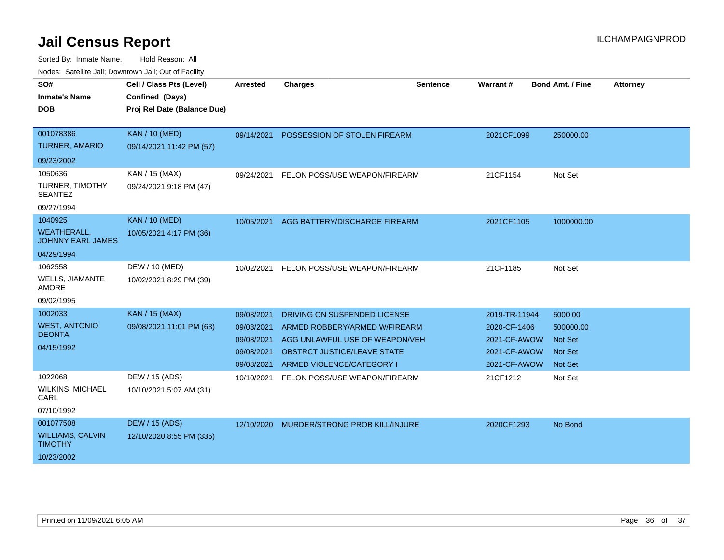| SO#<br><b>Inmate's Name</b><br><b>DOB</b>      | Cell / Class Pts (Level)<br>Confined (Days)<br>Proj Rel Date (Balance Due) | <b>Arrested</b> | <b>Charges</b>                            | <b>Sentence</b> | Warrant#      | <b>Bond Amt. / Fine</b> | <b>Attorney</b> |
|------------------------------------------------|----------------------------------------------------------------------------|-----------------|-------------------------------------------|-----------------|---------------|-------------------------|-----------------|
| 001078386                                      | <b>KAN / 10 (MED)</b>                                                      | 09/14/2021      | POSSESSION OF STOLEN FIREARM              |                 | 2021CF1099    | 250000.00               |                 |
| <b>TURNER, AMARIO</b>                          | 09/14/2021 11:42 PM (57)                                                   |                 |                                           |                 |               |                         |                 |
| 09/23/2002                                     |                                                                            |                 |                                           |                 |               |                         |                 |
| 1050636                                        | KAN / 15 (MAX)                                                             | 09/24/2021      | FELON POSS/USE WEAPON/FIREARM             |                 | 21CF1154      | Not Set                 |                 |
| <b>TURNER, TIMOTHY</b><br><b>SEANTEZ</b>       | 09/24/2021 9:18 PM (47)                                                    |                 |                                           |                 |               |                         |                 |
| 09/27/1994                                     |                                                                            |                 |                                           |                 |               |                         |                 |
| 1040925                                        | <b>KAN / 10 (MED)</b>                                                      | 10/05/2021      | AGG BATTERY/DISCHARGE FIREARM             |                 | 2021CF1105    | 1000000.00              |                 |
| <b>WEATHERALL,</b><br><b>JOHNNY EARL JAMES</b> | 10/05/2021 4:17 PM (36)                                                    |                 |                                           |                 |               |                         |                 |
| 04/29/1994                                     |                                                                            |                 |                                           |                 |               |                         |                 |
| 1062558                                        | DEW / 10 (MED)                                                             | 10/02/2021      | FELON POSS/USE WEAPON/FIREARM             |                 | 21CF1185      | Not Set                 |                 |
| WELLS, JIAMANTE<br><b>AMORE</b>                | 10/02/2021 8:29 PM (39)                                                    |                 |                                           |                 |               |                         |                 |
| 09/02/1995                                     |                                                                            |                 |                                           |                 |               |                         |                 |
| 1002033                                        | <b>KAN / 15 (MAX)</b>                                                      | 09/08/2021      | DRIVING ON SUSPENDED LICENSE              |                 | 2019-TR-11944 | 5000.00                 |                 |
| <b>WEST, ANTONIO</b>                           | 09/08/2021 11:01 PM (63)                                                   | 09/08/2021      | ARMED ROBBERY/ARMED W/FIREARM             |                 | 2020-CF-1406  | 500000.00               |                 |
| <b>DEONTA</b><br>04/15/1992                    |                                                                            | 09/08/2021      | AGG UNLAWFUL USE OF WEAPON/VEH            |                 | 2021-CF-AWOW  | <b>Not Set</b>          |                 |
|                                                |                                                                            | 09/08/2021      | OBSTRCT JUSTICE/LEAVE STATE               |                 | 2021-CF-AWOW  | <b>Not Set</b>          |                 |
|                                                |                                                                            | 09/08/2021      | ARMED VIOLENCE/CATEGORY I                 |                 | 2021-CF-AWOW  | <b>Not Set</b>          |                 |
| 1022068                                        | DEW / 15 (ADS)                                                             | 10/10/2021      | FELON POSS/USE WEAPON/FIREARM             |                 | 21CF1212      | Not Set                 |                 |
| <b>WILKINS, MICHAEL</b><br>CARL                | 10/10/2021 5:07 AM (31)                                                    |                 |                                           |                 |               |                         |                 |
| 07/10/1992                                     |                                                                            |                 |                                           |                 |               |                         |                 |
| 001077508                                      | <b>DEW / 15 (ADS)</b>                                                      |                 | 12/10/2020 MURDER/STRONG PROB KILL/INJURE |                 | 2020CF1293    | No Bond                 |                 |
| <b>WILLIAMS, CALVIN</b><br><b>TIMOTHY</b>      | 12/10/2020 8:55 PM (335)                                                   |                 |                                           |                 |               |                         |                 |
| 10/23/2002                                     |                                                                            |                 |                                           |                 |               |                         |                 |